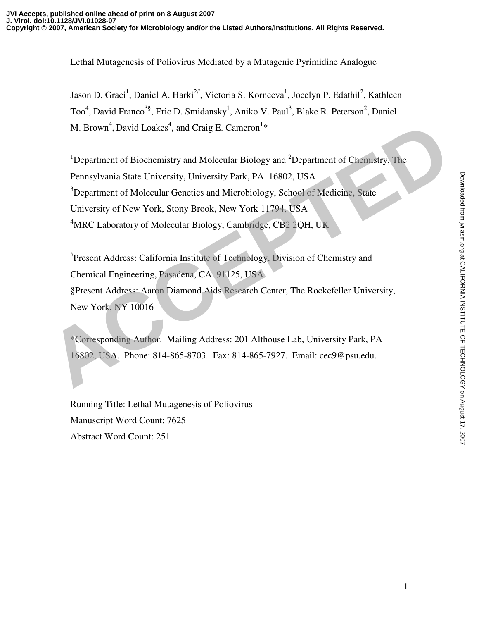Lethal Mutagenesis of Poliovirus Mediated by a Mutagenic Pyrimidine Analogue

Jason D. Graci<sup>1</sup>, Daniel A. Harki<sup>2#</sup>, Victoria S. Korneeva<sup>1</sup>, Jocelyn P. Edathil<sup>2</sup>, Kathleen Too<sup>4</sup>, David Franco<sup>3§</sup>, Eric D. Smidansky<sup>1</sup>, Aniko V. Paul<sup>3</sup>, Blake R. Peterson<sup>2</sup>, Daniel M. Brown<sup>4</sup>, David Loakes<sup>4</sup>, and Craig E. Cameron<sup>1</sup>\*

<sup>1</sup>Department of Biochemistry and Molecular Biology and <sup>2</sup>Department of Chemistry, The Pennsylvania State University, University Park, PA 16802, USA <sup>3</sup>Department of Molecular Genetics and Microbiology, School of Medicine, State University of New York, Stony Brook, New York 11794, USA <sup>4</sup>MRC Laboratory of Molecular Biology, Cambridge, CB2 2QH, UK M. Brown<sup>4</sup>, David Loakes<sup>4</sup>, and Craig E. Cameron<sup>1\*</sup><br>
<sup>1</sup> Department of Biochemistry and Molecular Biology and <sup>2</sup> Department of Chemistry, The<br>
Pennsylvania State University, University Park, PA 16802, USA<br>
<sup>2</sup> Departme

# Present Address: California Institute of Technology, Division of Chemistry and Chemical Engineering, Pasadena, CA 91125, USA §Present Address: Aaron Diamond Aids Research Center, The Rockefeller University, New York, NY 10016

\*Corresponding Author. Mailing Address: 201 Althouse Lab, University Park, PA 16802, USA. Phone: 814-865-8703. Fax: 814-865-7927. Email: cec9@psu.edu.

Running Title: Lethal Mutagenesis of Poliovirus Manuscript Word Count: 7625 Abstract Word Count: 251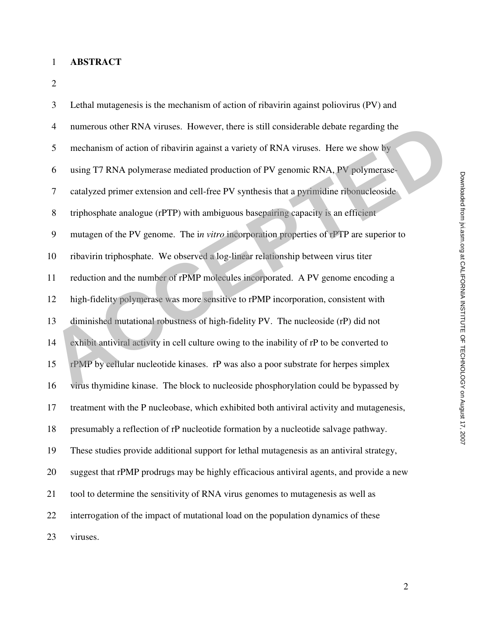### 1 **ABSTRACT**

2

3 Lethal mutagenesis is the mechanism of action of ribavirin against poliovirus (PV) and 4 numerous other RNA viruses. However, there is still considerable debate regarding the 5 mechanism of action of ribavirin against a variety of RNA viruses. Here we show by 6 using T7 RNA polymerase mediated production of PV genomic RNA, PV polymerase-7 catalyzed primer extension and cell-free PV synthesis that a pyrimidine ribonucleoside 8 triphosphate analogue (rPTP) with ambiguous basepairing capacity is an efficient 9 mutagen of the PV genome. The i*n vitro* incorporation properties of rPTP are superior to 10 ribavirin triphosphate. We observed a log-linear relationship between virus titer 11 reduction and the number of rPMP molecules incorporated. A PV genome encoding a 12 high-fidelity polymerase was more sensitive to rPMP incorporation, consistent with 13 diminished mutational robustness of high-fidelity PV. The nucleoside (rP) did not 14 exhibit antiviral activity in cell culture owing to the inability of rP to be converted to 15 rPMP by cellular nucleotide kinases. rP was also a poor substrate for herpes simplex 16 virus thymidine kinase. The block to nucleoside phosphorylation could be bypassed by 17 treatment with the P nucleobase, which exhibited both antiviral activity and mutagenesis, 18 presumably a reflection of rP nucleotide formation by a nucleotide salvage pathway. 19 These studies provide additional support for lethal mutagenesis as an antiviral strategy, 20 suggest that rPMP prodrugs may be highly efficacious antiviral agents, and provide a new 21 tool to determine the sensitivity of RNA virus genomes to mutagenesis as well as 22 interrogation of the impact of mutational load on the population dynamics of these 23 viruses. The methods of the RNA viruses. However, there is still considerable debate regarding the<br>
ACCEPTED methanism of action of ribavirin against a variety of RNA viruses. Here we show by<br>
ACCEPTED methanism of action of ribavi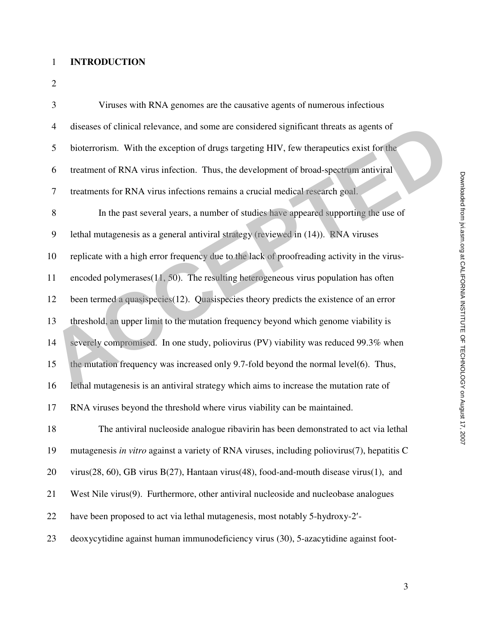# 1 **INTRODUCTION**

| 3              | Viruses with RNA genomes are the causative agents of numerous infectious                     |
|----------------|----------------------------------------------------------------------------------------------|
| $\overline{4}$ | diseases of clinical relevance, and some are considered significant threats as agents of     |
| 5              | bioterrorism. With the exception of drugs targeting HIV, few therapeutics exist for the      |
| 6              | treatment of RNA virus infection. Thus, the development of broad-spectrum antiviral          |
| $\tau$         | treatments for RNA virus infections remains a crucial medical research goal.                 |
| $8\,$          | In the past several years, a number of studies have appeared supporting the use of           |
| 9              | lethal mutagenesis as a general antiviral strategy (reviewed in (14)). RNA viruses           |
| 10             | replicate with a high error frequency due to the lack of proofreading activity in the virus- |
| 11             | encoded polymerases $(11, 50)$ . The resulting heterogeneous virus population has often      |
| 12             | been termed a quasispecies (12). Quasispecies theory predicts the existence of an error      |
| 13             | threshold, an upper limit to the mutation frequency beyond which genome viability is         |
| 14             | severely compromised. In one study, poliovirus (PV) viability was reduced 99.3% when         |
| 15             | the mutation frequency was increased only 9.7-fold beyond the normal level(6). Thus,         |
| 16             | lethal mutagenesis is an antiviral strategy which aims to increase the mutation rate of      |
| 17             | RNA viruses beyond the threshold where virus viability can be maintained.                    |
| 18             | The antiviral nucleoside analogue ribavirin has been demonstrated to act via lethal          |
| 19             | mutagenesis in vitro against a variety of RNA viruses, including poliovirus(7), hepatitis C  |
| 20             | virus(28, 60), GB virus $B(27)$ , Hantaan virus(48), food-and-mouth disease virus(1), and    |
| 21             | West Nile virus(9). Furthermore, other antiviral nucleoside and nucleobase analogues         |
| 22             | have been proposed to act via lethal mutagenesis, most notably 5-hydroxy-2'-                 |
| 23             | deoxycytidine against human immunodeficiency virus (30), 5-azacytidine against foot-         |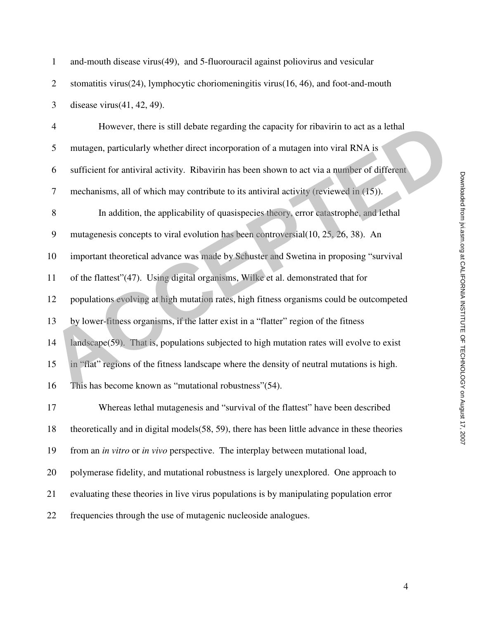| $\mathbf{1}$   | and-mouth disease virus(49), and 5-fluorouracil against poliovirus and vesicular             |
|----------------|----------------------------------------------------------------------------------------------|
| $\overline{2}$ | stomatitis virus $(24)$ , lymphocytic choriomeningitis virus $(16, 46)$ , and foot-and-mouth |
| 3              | disease virus $(41, 42, 49)$ .                                                               |
| $\overline{4}$ | However, there is still debate regarding the capacity for ribavirin to act as a lethal       |
| 5              | mutagen, particularly whether direct incorporation of a mutagen into viral RNA is            |
| 6              | sufficient for antiviral activity. Ribavirin has been shown to act via a number of different |
| $\tau$         | mechanisms, all of which may contribute to its antiviral activity (reviewed in (15)).        |
| 8              | In addition, the applicability of quasispecies theory, error catastrophe, and lethal         |
| 9              | mutagenesis concepts to viral evolution has been controversial(10, 25, 26, 38). An           |
| 10             | important theoretical advance was made by Schuster and Swetina in proposing "survival        |
| 11             | of the flattest"(47). Using digital organisms, Wilke et al. demonstrated that for            |
| 12             | populations evolving at high mutation rates, high fitness organisms could be outcompeted     |
| 13             | by lower-fitness organisms, if the latter exist in a "flatter" region of the fitness         |
| 14             | landscape(59). That is, populations subjected to high mutation rates will evolve to exist    |
| 15             | in "flat" regions of the fitness landscape where the density of neutral mutations is high.   |
| 16             | This has become known as "mutational robustness" (54).                                       |

16 This has become known as "mutational robustness"(54).

17 Whereas lethal mutagenesis and "survival of the flattest" have been described 18 theoretically and in digital models(58, 59), there has been little advance in these theories 19 from an *in vitro* or *in vivo* perspective. The interplay between mutational load, 20 polymerase fidelity, and mutational robustness is largely unexplored. One approach to 21 evaluating these theories in live virus populations is by manipulating population error 22 frequencies through the use of mutagenic nucleoside analogues.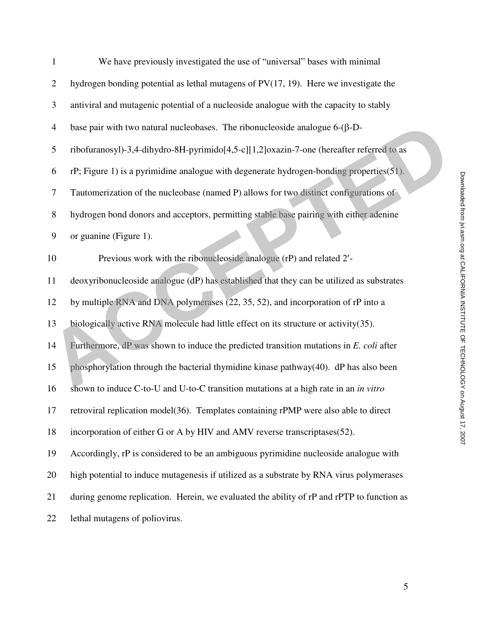| $\mathbf{1}$   | We have previously investigated the use of "universal" bases with minimal                      |
|----------------|------------------------------------------------------------------------------------------------|
| $\overline{2}$ | hydrogen bonding potential as lethal mutagens of $PV(17, 19)$ . Here we investigate the        |
| 3              | antiviral and mutagenic potential of a nucleoside analogue with the capacity to stably         |
| $\overline{4}$ | base pair with two natural nucleobases. The ribonucleoside analogue $6-(\beta-D-$              |
| 5              | ribofuranosyl)-3,4-dihydro-8H-pyrimido[4,5-c][1,2]oxazin-7-one (hereafter referred to as       |
| 6              | $rP$ ; Figure 1) is a pyrimidine analogue with degenerate hydrogen-bonding properties $(51)$ . |
| 7              | Tautomerization of the nucleobase (named P) allows for two distinct configurations of          |
| $8\,$          | hydrogen bond donors and acceptors, permitting stable base pairing with either adenine         |
| 9              | or guanine (Figure 1).                                                                         |
| 10             | Previous work with the ribonucleoside analogue (rP) and related 2'-                            |
| 11             | deoxyribonucleoside analogue (dP) has established that they can be utilized as substrates      |
| 12             | by multiple RNA and DNA polymerases (22, 35, 52), and incorporation of rP into a               |
| 13             | biologically active RNA molecule had little effect on its structure or activity(35).           |
| 14             | Furthermore, dP was shown to induce the predicted transition mutations in E. coli after        |
| 15             | phosphorylation through the bacterial thymidine kinase pathway(40). dP has also been           |
| 16             | shown to induce C-to-U and U-to-C transition mutations at a high rate in an in vitro           |
| 17             | retroviral replication model(36). Templates containing rPMP were also able to direct<br>č      |
| 18             | incorporation of either G or A by HIV and AMV reverse transcriptases (52).                     |
| 19             | Accordingly, rP is considered to be an ambiguous pyrimidine nucleoside analogue with           |
| 20             | high potential to induce mutagenesis if utilized as a substrate by RNA virus polymerases       |
| 21             | during genome replication. Herein, we evaluated the ability of rP and rPTP to function as      |
| 22             | lethal mutagens of poliovirus.                                                                 |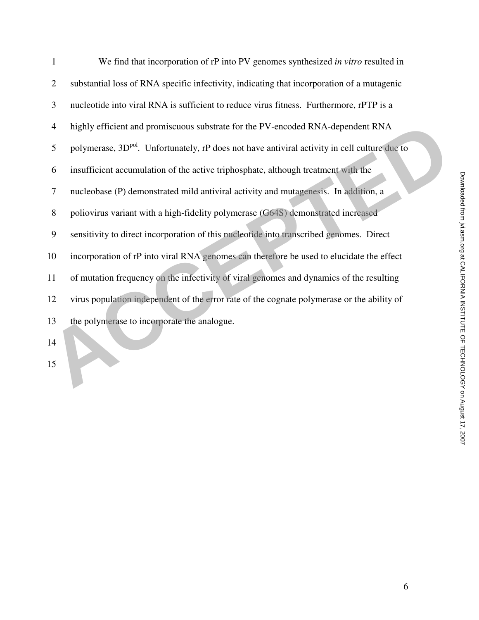| 1              | We find that incorporation of rP into PV genomes synthesized in vitro resulted in                         |
|----------------|-----------------------------------------------------------------------------------------------------------|
| $\overline{2}$ | substantial loss of RNA specific infectivity, indicating that incorporation of a mutagenic                |
| 3              | nucleotide into viral RNA is sufficient to reduce virus fitness. Furthermore, rPTP is a                   |
| 4              | highly efficient and promiscuous substrate for the PV-encoded RNA-dependent RNA                           |
| 5              | polymerase, 3D <sup>pol</sup> . Unfortunately, rP does not have antiviral activity in cell culture due to |
| 6              | insufficient accumulation of the active triphosphate, although treatment with the                         |
| $\tau$         | nucleobase (P) demonstrated mild antiviral activity and mutagenesis. In addition, a                       |
| 8              | poliovirus variant with a high-fidelity polymerase (G64S) demonstrated increased                          |
| 9              | sensitivity to direct incorporation of this nucleotide into transcribed genomes. Direct                   |
| 10             | incorporation of rP into viral RNA genomes can therefore be used to elucidate the effect                  |
| 11             | of mutation frequency on the infectivity of viral genomes and dynamics of the resulting                   |
| 12             | virus population independent of the error rate of the cognate polymerase or the ability of                |
| 13             | the polymerase to incorporate the analogue.                                                               |
| 14             |                                                                                                           |
| 15             |                                                                                                           |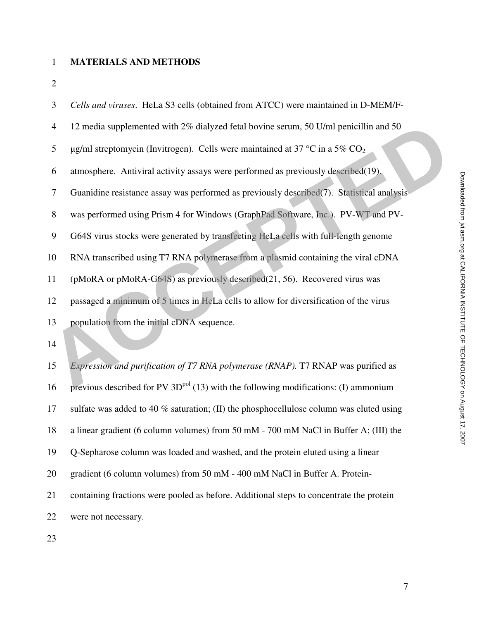# 1 **MATERIALS AND METHODS**

2

| $\mathfrak{Z}$ | Cells and viruses. HeLa S3 cells (obtained from ATCC) were maintained in D-MEM/F-          |
|----------------|--------------------------------------------------------------------------------------------|
| $\overline{4}$ | 12 media supplemented with 2% dialyzed fetal bovine serum, 50 U/ml penicillin and 50       |
| $\mathfrak{S}$ | µg/ml streptomycin (Invitrogen). Cells were maintained at 37 °C in a 5% $CO2$              |
| 6              | atmosphere. Antiviral activity assays were performed as previously described(19).          |
| 7              | Guanidine resistance assay was performed as previously described(7). Statistical analysis  |
| $8\,$          | was performed using Prism 4 for Windows (GraphPad Software, Inc.). PV-WT and PV-           |
| 9              | G64S virus stocks were generated by transfecting HeLa cells with full-length genome        |
| 10             | RNA transcribed using T7 RNA polymerase from a plasmid containing the viral cDNA           |
| 11             | (pMoRA or pMoRA-G64S) as previously described(21, 56). Recovered virus was                 |
| 12             | passaged a minimum of 5 times in HeLa cells to allow for diversification of the virus      |
| 13             | population from the initial cDNA sequence.                                                 |
| 14             |                                                                                            |
| 15             | Expression and purification of T7 RNA polymerase (RNAP). T7 RNAP was purified as           |
| 16             | previous described for PV $3D^{pol}$ (13) with the following modifications: (I) ammonium   |
| 17             | sulfate was added to 40 $\%$ saturation; (II) the phosphocellulose column was eluted using |
| 18             | a linear gradient (6 column volumes) from 50 mM - 700 mM NaCl in Buffer A; (III) the       |
| 19             | Q-Sepharose column was loaded and washed, and the protein eluted using a linear            |
| 20             | gradient (6 column volumes) from 50 mM - 400 mM NaCl in Buffer A. Protein-                 |
| 21             | containing fractions were pooled as before. Additional steps to concentrate the protein    |
| 22             | were not necessary.                                                                        |
|                |                                                                                            |

at CALIFORNIA INSTITUTE OF TECHNOLOGY on August 17, 2007 [jvi.asm.org](http://jvi.asm.org) Downloaded from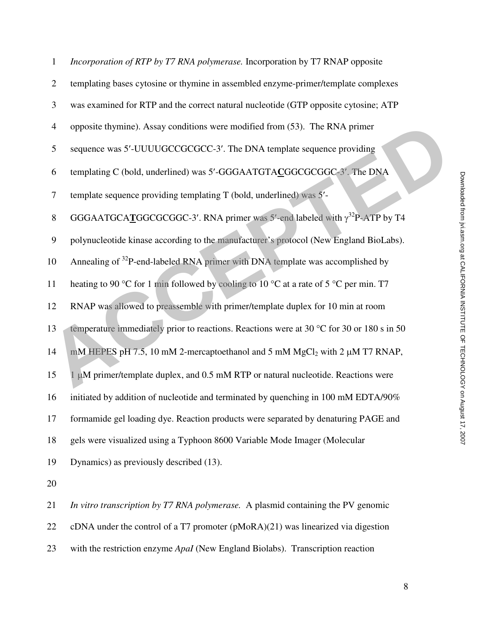| 1              | <i>Incorporation of RTP by T7 RNA polymerase.</i> Incorporation by T7 RNAP opposite                |
|----------------|----------------------------------------------------------------------------------------------------|
| $\overline{2}$ | templating bases cytosine or thymine in assembled enzyme-primer/template complexes                 |
| 3              | was examined for RTP and the correct natural nucleotide (GTP opposite cytosine; ATP                |
| $\overline{4}$ | opposite thymine). Assay conditions were modified from (53). The RNA primer                        |
| 5              | sequence was 5'-UUUUGCCGCGCC-3'. The DNA template sequence providing                               |
| 6              | templating C (bold, underlined) was 5'-GGGAATGTACGGCGCGC-3'. The DNA                               |
| $\tau$         | template sequence providing templating T (bold, underlined) was 5'-                                |
| $8\,$          | GGGAATGCATGCGCGCGC-3'. RNA primer was 5'-end labeled with $\gamma^{32}P$ -ATP by T4                |
| 9              | polynucleotide kinase according to the manufacturer's protocol (New England BioLabs).              |
| 10             | Annealing of <sup>32</sup> P-end-labeled RNA primer with DNA template was accomplished by          |
| 11             | heating to 90 °C for 1 min followed by cooling to 10 °C at a rate of 5 °C per min. T7              |
| 12             | RNAP was allowed to preassemble with primer/template duplex for 10 min at room                     |
| 13             | temperature immediately prior to reactions. Reactions were at 30 °C for 30 or 180 s in 50          |
| 14             | mM HEPES pH 7.5, 10 mM 2-mercaptoethanol and 5 mM MgCl <sub>2</sub> with 2 µM T7 RNAP,             |
| 15             | 1 µM primer/template duplex, and 0.5 mM RTP or natural nucleotide. Reactions were                  |
| 16             | initiated by addition of nucleotide and terminated by quenching in 100 mM EDTA/90%                 |
| 17             | <b>Sucre</b><br>formamide gel loading dye. Reaction products were separated by denaturing PAGE and |
| 18             | gels were visualized using a Typhoon 8600 Variable Mode Imager (Molecular                          |
| 19             | Dynamics) as previously described (13).                                                            |
| 20             |                                                                                                    |

21 *In vitro transcription by T7 RNA polymerase.* A plasmid containing the PV genomic 22 cDNA under the control of a T7 promoter (pMoRA)(21) was linearized via digestion 23 with the restriction enzyme *ApaI* (New England Biolabs). Transcription reaction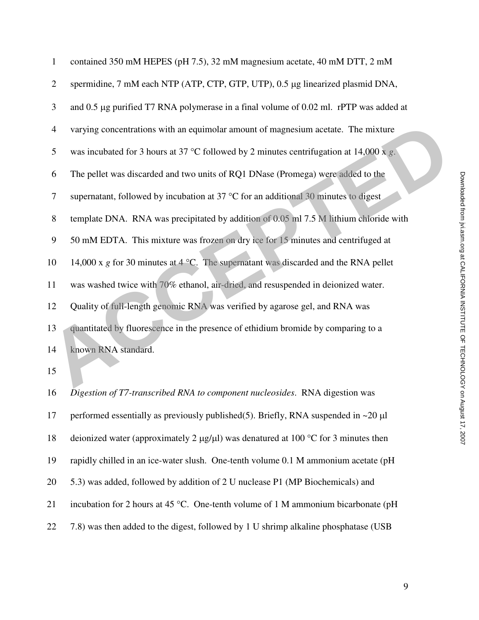| $\mathbf{1}$   | contained 350 mM HEPES (pH 7.5), 32 mM magnesium acetate, 40 mM DTT, 2 mM                    |
|----------------|----------------------------------------------------------------------------------------------|
| 2              | spermidine, 7 mM each NTP (ATP, CTP, GTP, UTP), 0.5 µg linearized plasmid DNA,               |
| 3              | and 0.5 µg purified T7 RNA polymerase in a final volume of 0.02 ml. rPTP was added at        |
| $\overline{4}$ | varying concentrations with an equimolar amount of magnesium acetate. The mixture            |
| 5              | was incubated for 3 hours at 37 °C followed by 2 minutes centrifugation at 14,000 x $g$ .    |
| 6              | The pellet was discarded and two units of RQ1 DNase (Promega) were added to the              |
| $\tau$         | supernatant, followed by incubation at 37 °C for an additional 30 minutes to digest          |
| $8\,$          | template DNA. RNA was precipitated by addition of 0.05 ml 7.5 M lithium chloride with        |
| 9              | 50 mM EDTA. This mixture was frozen on dry ice for 15 minutes and centrifuged at             |
| 10             | 14,000 x g for 30 minutes at $4^{\circ}$ C. The supernatant was discarded and the RNA pellet |
| 11             | was washed twice with 70% ethanol, air-dried, and resuspended in deionized water.            |
| 12             | Quality of full-length genomic RNA was verified by agarose gel, and RNA was                  |
| 13             | quantitated by fluorescence in the presence of ethidium bromide by comparing to a            |
| 14             | known RNA standard.                                                                          |
| 15             |                                                                                              |

16 *Digestion of T7-transcribed RNA to component nucleosides*. RNA digestion was 17 performed essentially as previously published(5). Briefly, RNA suspended in  $\sim$ 20 µl 18 deionized water (approximately 2  $\mu$ g/ $\mu$ l) was denatured at 100 °C for 3 minutes then 19 rapidly chilled in an ice-water slush. One-tenth volume 0.1 M ammonium acetate (pH 20 5.3) was added, followed by addition of 2 U nuclease P1 (MP Biochemicals) and 21 incubation for 2 hours at 45 °C. One-tenth volume of 1 M ammonium bicarbonate (pH 22 7.8) was then added to the digest, followed by 1 U shrimp alkaline phosphatase (USB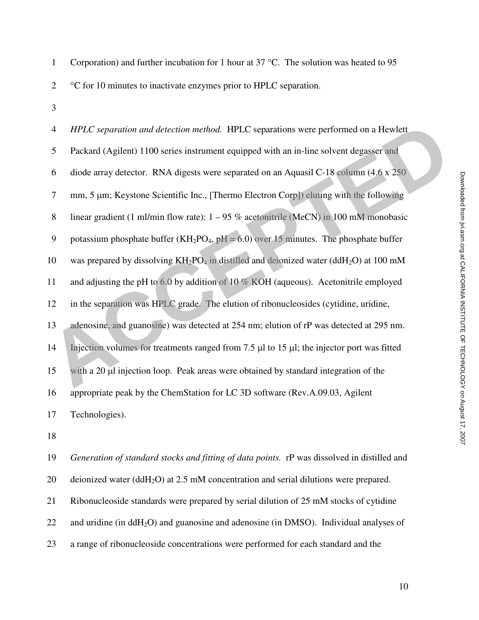1 Corporation) and further incubation for 1 hour at 37 °C. The solution was heated to 95

<sup>2</sup> °C for 10 minutes to inactivate enzymes prior to HPLC separation.

3

4 *HPLC separation and detection method.* HPLC separations were performed on a Hewlett 5 Packard (Agilent) 1100 series instrument equipped with an in-line solvent degasser and 6 diode array detector. RNA digests were separated on an Aquasil C-18 column (4.6 x 250 7 mm, 5 µm; Keystone Scientific Inc., [Thermo Electron Corp]) eluting with the following 8 linear gradient (1 ml/min flow rate):  $1 - 95\%$  acetonitrile (MeCN) in 100 mM monobasic 9 potassium phosphate buffer  $(KH_2PO_4, pH = 6.0)$  over 15 minutes. The phosphate buffer 10 was prepared by dissolving  $KH_2PO_4$  in distilled and deionized water (ddH<sub>2</sub>O) at 100 mM 11 and adjusting the pH to 6.0 by addition of 10 % KOH (aqueous). Acetonitrile employed 12 in the separation was HPLC grade. The elution of ribonucleosides (cytidine, uridine, 13 adenosine, and guanosine) was detected at 254 nm; elution of rP was detected at 295 nm. 14 Injection volumes for treatments ranged from 7.5 µl to 15 µl; the injector port was fitted 15 with a 20 µl injection loop. Peak areas were obtained by standard integration of the 16 appropriate peak by the ChemStation for LC 3D software (Rev.A.09.03, Agilent 17 Technologies). *AFPLC separation and detection method.* HPLC separations were performed on a Hewlett<br>
5 Packard (Agilent) 1100 series instrument equipped with an in-line solvent degasser and<br>
6 diode array detector. RNA digests were sep

18

19 *Generation of standard stocks and fitting of data points.* rP was dissolved in distilled and 20 deionized water (ddH<sub>2</sub>O) at 2.5 mM concentration and serial dilutions were prepared. 21 Ribonucleoside standards were prepared by serial dilution of 25 mM stocks of cytidine 22 and uridine (in ddH<sub>2</sub>O) and guanosine and adenosine (in DMSO). Individual analyses of 23 a range of ribonucleoside concentrations were performed for each standard and the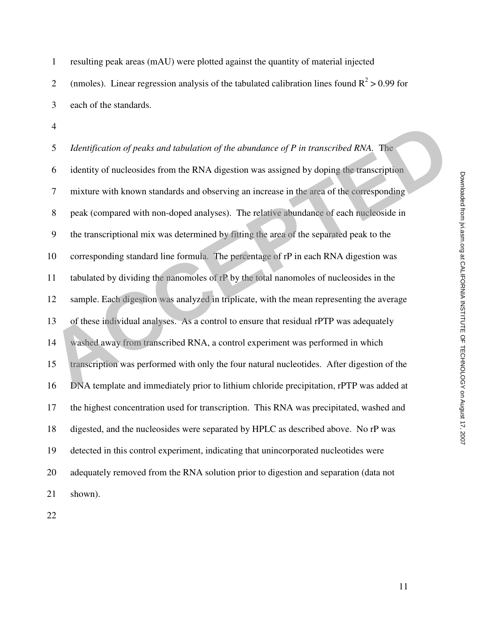1 resulting peak areas (mAU) were plotted against the quantity of material injected 2 (nmoles). Linear regression analysis of the tabulated calibration lines found  $R^2 > 0.99$  for 3 each of the standards.

4

5 *Identification of peaks and tabulation of the abundance of P in transcribed RNA.* The 6 identity of nucleosides from the RNA digestion was assigned by doping the transcription 7 mixture with known standards and observing an increase in the area of the corresponding 8 peak (compared with non-doped analyses). The relative abundance of each nucleoside in 9 the transcriptional mix was determined by fitting the area of the separated peak to the 10 corresponding standard line formula. The percentage of rP in each RNA digestion was 11 tabulated by dividing the nanomoles of rP by the total nanomoles of nucleosides in the 12 sample. Each digestion was analyzed in triplicate, with the mean representing the average 13 of these individual analyses. As a control to ensure that residual rPTP was adequately 14 washed away from transcribed RNA, a control experiment was performed in which 15 transcription was performed with only the four natural nucleotides. After digestion of the 16 DNA template and immediately prior to lithium chloride precipitation, rPTP was added at 17 the highest concentration used for transcription. This RNA was precipitated, washed and 18 digested, and the nucleosides were separated by HPLC as described above. No rP was 19 detected in this control experiment, indicating that unincorporated nucleotides were 20 adequately removed from the RNA solution prior to digestion and separation (data not 21 shown). *Hentification of peaks and tabulation of the abundance of P in transcribed RNA.* The<br>
6 identity of nucleosides from the RNA digestion was assigned by doping the transcription<br>
7 mixture with known standards and observing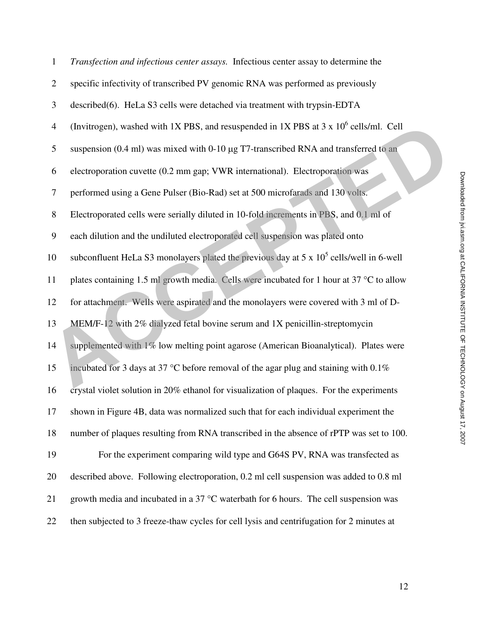| ׇ֠                                                                                                         |
|------------------------------------------------------------------------------------------------------------|
| ֚֘֝                                                                                                        |
|                                                                                                            |
|                                                                                                            |
|                                                                                                            |
| 1<br>֦                                                                                                     |
|                                                                                                            |
| ì                                                                                                          |
| ו<br>ג<br>1                                                                                                |
| <b>2010年 - 10月 - 10月 - 10月 - 10月 - 10月 - 10月 - 10月 - 10月 - 10月 - 10月 - 10月 - 10月 - 10月 - 10月 - 10月 - 1</b> |
|                                                                                                            |
|                                                                                                            |
|                                                                                                            |
| ;<br>;<br>;<br>ı                                                                                           |
|                                                                                                            |

| 1                | Transfection and infectious center assays. Infectious center assay to determine the             |
|------------------|-------------------------------------------------------------------------------------------------|
| 2                | specific infectivity of transcribed PV genomic RNA was performed as previously                  |
| 3                | described(6). HeLa S3 cells were detached via treatment with trypsin-EDTA                       |
| $\overline{4}$   | (Invitrogen), washed with 1X PBS, and resuspended in 1X PBS at $3 \times 10^6$ cells/ml. Cell   |
| 5                | suspension (0.4 ml) was mixed with 0-10 µg T7-transcribed RNA and transferred to an             |
| 6                | electroporation cuvette (0.2 mm gap; VWR international). Electroporation was                    |
| $\tau$           | performed using a Gene Pulser (Bio-Rad) set at 500 microfarads and 130 volts.                   |
| 8                | Electroporated cells were serially diluted in 10-fold increments in PBS, and 0.1 ml of          |
| $\boldsymbol{9}$ | each dilution and the undiluted electroporated cell suspension was plated onto                  |
| 10               | subconfluent HeLa S3 monolayers plated the previous day at $5 \times 10^5$ cells/well in 6-well |
| 11               | plates containing 1.5 ml growth media. Cells were incubated for 1 hour at 37 °C to allow        |
| 12               | for attachment. Wells were aspirated and the monolayers were covered with 3 ml of D-            |
| 13               | MEM/F-12 with 2% dialyzed fetal bovine serum and 1X penicillin-streptomycin                     |
| 14               | supplemented with 1% low melting point agarose (American Bioanalytical). Plates were            |
| 15               | incubated for 3 days at 37 °C before removal of the agar plug and staining with 0.1%            |
| 16               | crystal violet solution in 20% ethanol for visualization of plaques. For the experiments        |
| 17               | an Gr<br>shown in Figure 4B, data was normalized such that for each individual experiment the   |
| 18               | number of plaques resulting from RNA transcribed in the absence of rPTP was set to 100.         |
| 19               | For the experiment comparing wild type and G64S PV, RNA was transfected as                      |
| 20               | described above. Following electroporation, 0.2 ml cell suspension was added to 0.8 ml          |
| 21               | growth media and incubated in a 37 $\degree$ C waterbath for 6 hours. The cell suspension was   |
| 22               | then subjected to 3 freeze-thaw cycles for cell lysis and centrifugation for 2 minutes at       |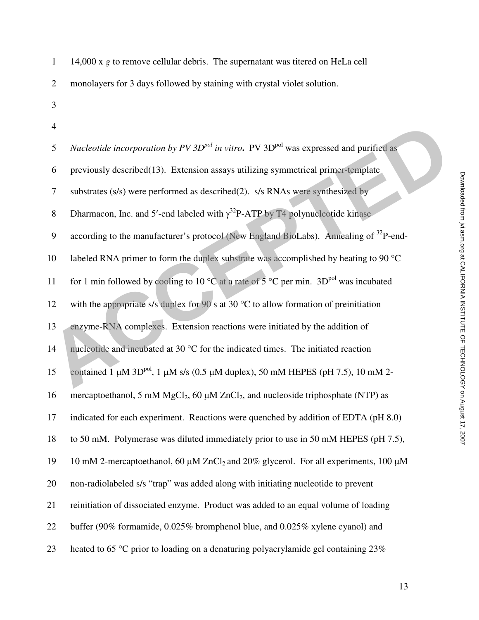# 1 14,000 x *g* to remove cellular debris. The supernatant was titered on HeLa cell

2 monolayers for 3 days followed by staining with crystal violet solution.

- 3
- 4

| $\overline{4}$   |                                                                                                                               |
|------------------|-------------------------------------------------------------------------------------------------------------------------------|
| 5                | <i>Nucleotide incorporation by PV 3D<sup>pol</sup> in vitro.</i> PV 3D <sup>pol</sup> was expressed and purified as           |
| 6                | previously described(13). Extension assays utilizing symmetrical primer-template                                              |
| $\boldsymbol{7}$ | substrates (s/s) were performed as described(2). s/s RNAs were synthesized by                                                 |
| $8\,$            | Dharmacon, Inc. and 5'-end labeled with $\gamma^{32}P$ -ATP by T4 polynucleotide kinase                                       |
| 9                | according to the manufacturer's protocol (New England BioLabs). Annealing of <sup>32</sup> P-end-                             |
| 10               | labeled RNA primer to form the duplex substrate was accomplished by heating to 90 °C                                          |
| 11               | for 1 min followed by cooling to 10 $\rm{^{\circ}C}$ at a rate of 5 $\rm{^{\circ}C}$ per min. 3D <sup>pol</sup> was incubated |
| 12               | with the appropriate s/s duplex for 90 s at 30 $^{\circ}$ C to allow formation of preinitiation                               |
| 13               | enzyme-RNA complexes. Extension reactions were initiated by the addition of                                                   |
| 14               | nucleotide and incubated at 30 °C for the indicated times. The initiated reaction                                             |
| 15               | contained 1 $\mu$ M 3D <sup>pol</sup> , 1 $\mu$ M s/s (0.5 $\mu$ M duplex), 50 mM HEPES (pH 7.5), 10 mM 2-                    |
| 16               | mercaptoethanol, 5 mM $MgCl_2$ , 60 µM $ZnCl_2$ , and nucleoside triphosphate (NTP) as                                        |
| 17               | indicated for each experiment. Reactions were quenched by addition of EDTA (pH 8.0)                                           |
| 18               | to 50 mM. Polymerase was diluted immediately prior to use in 50 mM HEPES (pH 7.5),                                            |
| 19               | 10 mM 2-mercaptoethanol, 60 $\mu$ M ZnCl <sub>2</sub> and 20% glycerol. For all experiments, 100 $\mu$ M                      |
| 20               | non-radiolabeled s/s "trap" was added along with initiating nucleotide to prevent                                             |
| 21               | reinitiation of dissociated enzyme. Product was added to an equal volume of loading                                           |
| 22               | buffer (90% formamide, 0.025% bromphenol blue, and 0.025% xylene cyanol) and                                                  |
| 23               | heated to 65 °C prior to loading on a denaturing polyacrylamide gel containing 23%                                            |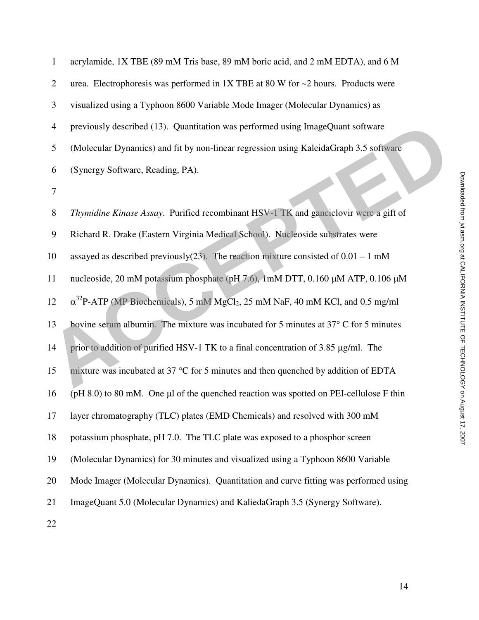|                | acrylamide, 1X TBE (89 mM Tris base, 89 mM boric acid, and 2 mM EDTA), and 6 M            |
|----------------|-------------------------------------------------------------------------------------------|
| 2              | urea. Electrophoresis was performed in $1X$ TBE at 80 W for $\sim$ 2 hours. Products were |
| 3              | visualized using a Typhoon 8600 Variable Mode Imager (Molecular Dynamics) as              |
| $\overline{4}$ | previously described (13). Quantitation was performed using ImageQuant software           |
| 5              | (Molecular Dynamics) and fit by non-linear regression using KaleidaGraph 3.5 software     |
| 6              | (Synergy Software, Reading, PA).                                                          |
|                |                                                                                           |

8 *Thymidine Kinase Assay*. Purified recombinant HSV-1 TK and ganciclovir were a gift of 9 Richard R. Drake (Eastern Virginia Medical School). Nucleoside substrates were 10 assayed as described previously(23). The reaction mixture consisted of 0.01 – 1 mM 11 nucleoside, 20 mM potassium phosphate (pH 7.6), 1mM DTT, 0.160 µM ATP, 0.106 µM 12  $\alpha^{32}$ P-ATP (MP Biochemicals), 5 mM MgCl<sub>2</sub>, 25 mM NaF, 40 mM KCl, and 0.5 mg/ml 13 bovine serum albumin. The mixture was incubated for 5 minutes at 37° C for 5 minutes 14 prior to addition of purified HSV-1 TK to a final concentration of 3.85 µg/ml. The 15 mixture was incubated at 37 °C for 5 minutes and then quenched by addition of EDTA 16 (pH 8.0) to 80 mM. One µl of the quenched reaction was spotted on PEI-cellulose F thin 17 layer chromatography (TLC) plates (EMD Chemicals) and resolved with 300 mM 18 potassium phosphate, pH 7.0. The TLC plate was exposed to a phosphor screen 19 (Molecular Dynamics) for 30 minutes and visualized using a Typhoon 8600 Variable 20 Mode Imager (Molecular Dynamics). Quantitation and curve fitting was performed using 21 ImageQuant 5.0 (Molecular Dynamics) and KaliedaGraph 3.5 (Synergy Software). 22 4 previously described (13). Quantitation was performed using ImageQuant software<br>
5 (Molecular Dynamics) and fit by non-linear regression using KaleidaGraph 3.5 software<br>
6 (Synergy Software, Reading, PA).<br>
7<br> **ACCEPTED**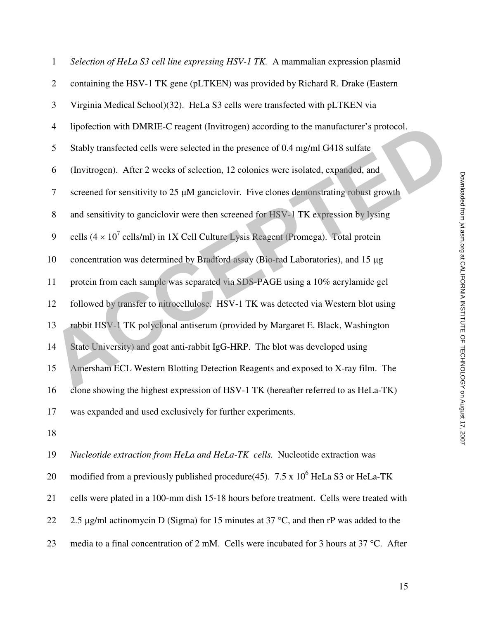| $\mathbf{1}$   | Selection of HeLa S3 cell line expressing HSV-1 TK. A mammalian expression plasmid                 |
|----------------|----------------------------------------------------------------------------------------------------|
| $\overline{2}$ | containing the HSV-1 TK gene (pLTKEN) was provided by Richard R. Drake (Eastern                    |
| 3              | Virginia Medical School)(32). HeLa S3 cells were transfected with pLTKEN via                       |
| 4              | lipofection with DMRIE-C reagent (Invitrogen) according to the manufacturer's protocol.            |
| 5              | Stably transfected cells were selected in the presence of 0.4 mg/ml G418 sulfate                   |
| 6              | (Invitrogen). After 2 weeks of selection, 12 colonies were isolated, expanded, and                 |
| $\tau$         | screened for sensitivity to 25 µM ganciclovir. Five clones demonstrating robust growth             |
| $8\,$          | and sensitivity to ganciclovir were then screened for HSV-1 TK expression by lysing                |
| 9              | cells $(4 \times 10^7 \text{ cells/ml})$ in 1X Cell Culture Lysis Reagent (Promega). Total protein |
| 10             | concentration was determined by Bradford assay (Bio-rad Laboratories), and 15 µg                   |
| 11             | protein from each sample was separated via SDS-PAGE using a 10% acrylamide gel                     |
| 12             | followed by transfer to nitrocellulose. HSV-1 TK was detected via Western blot using               |
| 13             | rabbit HSV-1 TK polyclonal antiserum (provided by Margaret E. Black, Washington                    |
| 14             | State University) and goat anti-rabbit IgG-HRP. The blot was developed using                       |
| 15             | Amersham ECL Western Blotting Detection Reagents and exposed to X-ray film. The                    |
| 16             | clone showing the highest expression of HSV-1 TK (hereafter referred to as HeLa-TK)                |
| 17             | e<br>Pe<br>was expanded and used exclusively for further experiments.                              |
|                |                                                                                                    |

18

19 *Nucleotide extraction from HeLa and HeLa-TK cells.* Nucleotide extraction was 20 modified from a previously published procedure(45).  $7.5 \times 10^6$  HeLa S3 or HeLa-TK 21 cells were plated in a 100-mm dish 15-18 hours before treatment. Cells were treated with 22 2.5  $\mu$ g/ml actinomycin D (Sigma) for 15 minutes at 37 °C, and then rP was added to the 23 media to a final concentration of 2 mM. Cells were incubated for 3 hours at 37 °C. After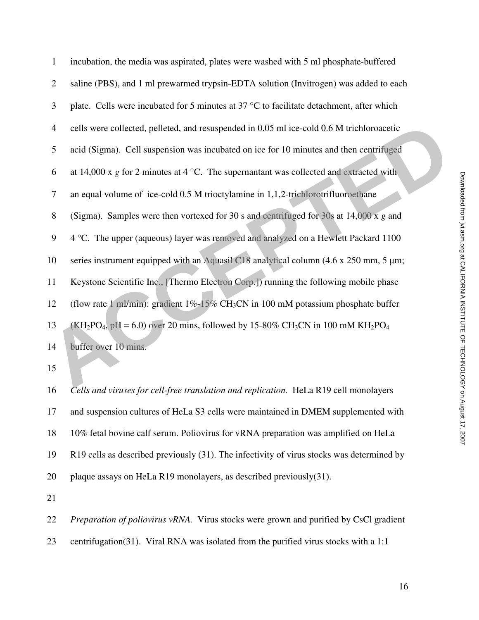| $\mathbf{1}$   | incubation, the media was aspirated, plates were washed with 5 ml phosphate-buffered                                                                                                                                                                                                                                                                                                                                                         |
|----------------|----------------------------------------------------------------------------------------------------------------------------------------------------------------------------------------------------------------------------------------------------------------------------------------------------------------------------------------------------------------------------------------------------------------------------------------------|
| $\overline{2}$ | saline (PBS), and 1 ml prewarmed trypsin-EDTA solution (Invitrogen) was added to each                                                                                                                                                                                                                                                                                                                                                        |
| 3              | plate. Cells were incubated for 5 minutes at 37 °C to facilitate detachment, after which                                                                                                                                                                                                                                                                                                                                                     |
| $\overline{4}$ | cells were collected, pelleted, and resuspended in 0.05 ml ice-cold 0.6 M trichloroacetic                                                                                                                                                                                                                                                                                                                                                    |
| 5              | acid (Sigma). Cell suspension was incubated on ice for 10 minutes and then centrifuged                                                                                                                                                                                                                                                                                                                                                       |
| 6              | at 14,000 x $g$ for 2 minutes at 4 °C. The supernantant was collected and extracted with                                                                                                                                                                                                                                                                                                                                                     |
| $\tau$         | an equal volume of ice-cold $0.5$ M trioctylamine in 1,1,2-trichlorotrifluoroethane                                                                                                                                                                                                                                                                                                                                                          |
| $8\,$          | (Sigma). Samples were then vortexed for 30 s and centrifuged for 30s at $14,000 \times g$ and                                                                                                                                                                                                                                                                                                                                                |
| 9              | 4 °C. The upper (aqueous) layer was removed and analyzed on a Hewlett Packard 1100                                                                                                                                                                                                                                                                                                                                                           |
| 10             | series instrument equipped with an Aquasil C18 analytical column $(4.6 \times 250 \text{ mm}, 5 \text{ µm})$ ;                                                                                                                                                                                                                                                                                                                               |
| 11             | Keystone Scientific Inc., [Thermo Electron Corp.]) running the following mobile phase                                                                                                                                                                                                                                                                                                                                                        |
| 12             | (flow rate 1 ml/min): gradient $1\%$ -15% CH <sub>3</sub> CN in 100 mM potassium phosphate buffer                                                                                                                                                                                                                                                                                                                                            |
| 13             | $(KH_2PO_4, pH = 6.0)$ over 20 mins, followed by 15-80% CH <sub>3</sub> CN in 100 mM KH <sub>2</sub> PO <sub>4</sub>                                                                                                                                                                                                                                                                                                                         |
| 14             | buffer over 10 mins.                                                                                                                                                                                                                                                                                                                                                                                                                         |
| 15             |                                                                                                                                                                                                                                                                                                                                                                                                                                              |
| $\sqrt{1}$     | $\mathcal{C}$ if $\mathcal{C}$ is a set of $\mathcal{C}$ if $\mathcal{C}$ if $\mathcal{C}$ if $\mathcal{C}$ if $\mathcal{C}$ if $\mathcal{C}$ if $\mathcal{C}$ if $\mathcal{C}$ if $\mathcal{C}$ if $\mathcal{C}$ if $\mathcal{C}$ if $\mathcal{C}$ if $\mathcal{C}$ if $\mathcal{C}$ if $\mathcal{C}$ if $\mathcal{C}$<br>$\sim$ 11<br>$\mathbf{I} \mathbf{I} \mathbf{I} \mathbf{I} \mathbf{I} \mathbf{I} \mathbf{I} \mathbf{I} \mathbf{I}$ |

16 *Cells and viruses for cell-free translation and replication.* HeLa R19 cell monolayers 17 and suspension cultures of HeLa S3 cells were maintained in DMEM supplemented with 18 10% fetal bovine calf serum. Poliovirus for vRNA preparation was amplified on HeLa 19 R19 cells as described previously (31). The infectivity of virus stocks was determined by 20 plaque assays on HeLa R19 monolayers, as described previously(31).

22 *Preparation of poliovirus vRNA.* Virus stocks were grown and purified by CsCl gradient 23 centrifugation(31). Viral RNA was isolated from the purified virus stocks with a 1:1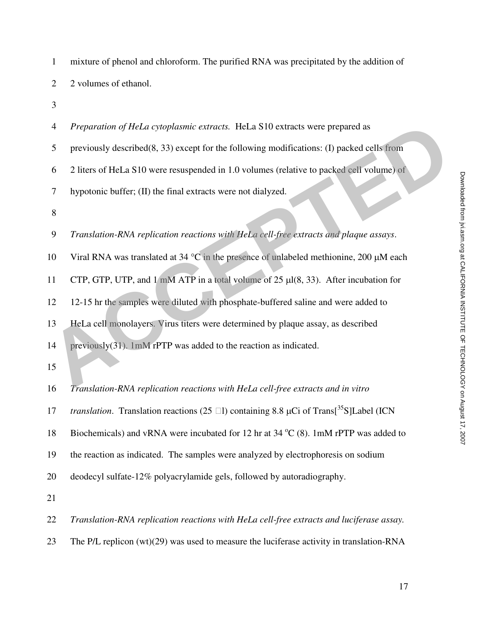| $\overline{2}$ | 2 volumes of ethanol.                                                                                                 |
|----------------|-----------------------------------------------------------------------------------------------------------------------|
| 3              |                                                                                                                       |
| $\overline{4}$ | Preparation of HeLa cytoplasmic extracts. HeLa S10 extracts were prepared as                                          |
| 5              | previously described(8, 33) except for the following modifications: (I) packed cells from                             |
| 6              | 2 liters of HeLa S10 were resuspended in 1.0 volumes (relative to packed cell volume) of                              |
| 7              | hypotonic buffer; (II) the final extracts were not dialyzed.                                                          |
| 8              |                                                                                                                       |
| 9              | Translation-RNA replication reactions with HeLa cell-free extracts and plaque assays.                                 |
| 10             | Viral RNA was translated at $34^{\circ}$ C in the presence of unlabeled methionine, 200 $\mu$ M each                  |
| 11             | CTP, GTP, UTP, and 1 mM ATP in a total volume of 25 $\mu$ l(8, 33). After incubation for                              |
| 12             | 12-15 hr the samples were diluted with phosphate-buffered saline and were added to                                    |
| 13             | HeLa cell monolayers. Virus titers were determined by plaque assay, as described                                      |
| 14             | previously(31). 1mM rPTP was added to the reaction as indicated.                                                      |
| 15             |                                                                                                                       |
| 16             | Translation-RNA replication reactions with HeLa cell-free extracts and in vitro                                       |
| 17             | <i>translation</i> . Translation reactions (25 $\Box$ ]) containing 8.8 $\mu$ Ci of Trans[ <sup>35</sup> S]Label (ICN |
| 18             | Biochemicals) and vRNA were incubated for 12 hr at 34 $^{\circ}$ C (8). 1mM rPTP was added to                         |
| 19             | the reaction as indicated. The samples were analyzed by electrophoresis on sodium                                     |
| 20             | deodecyl sulfate-12% polyacrylamide gels, followed by autoradiography.                                                |
| 21             |                                                                                                                       |
| 22             | Translation-RNA replication reactions with HeLa cell-free extracts and luciferase assay.                              |
| 23             | The P/L replicon $(wt)(29)$ was used to measure the luciferase activity in translation-RNA                            |

1 mixture of phenol and chloroform. The purified RNA was precipitated by the addition of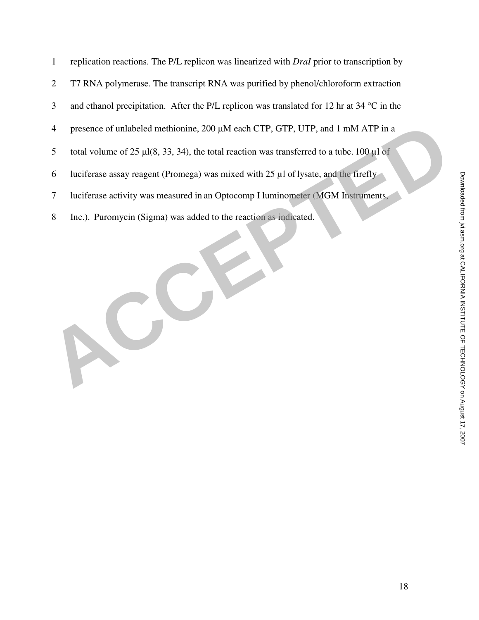| $\mathbf{1}$   | replication reactions. The P/L replicon was linearized with <i>Dral</i> prior to transcription by   |
|----------------|-----------------------------------------------------------------------------------------------------|
| $\overline{2}$ | T7 RNA polymerase. The transcript RNA was purified by phenol/chloroform extraction                  |
| 3              | and ethanol precipitation. After the P/L replicon was translated for 12 hr at 34 $\degree$ C in the |
| 4              | presence of unlabeled methionine, 200 µM each CTP, GTP, UTP, and 1 mM ATP in a                      |
| 5              | total volume of 25 $\mu$ 1(8, 33, 34), the total reaction was transferred to a tube. 100 $\mu$ 1 of |
| 6              | luciferase assay reagent (Promega) was mixed with 25 µl of lysate, and the firefly                  |
| 7              | luciferase activity was measured in an Optocomp I luminometer (MGM Instruments,                     |
| 8              | Inc.). Puromycin (Sigma) was added to the reaction as indicated.                                    |
|                |                                                                                                     |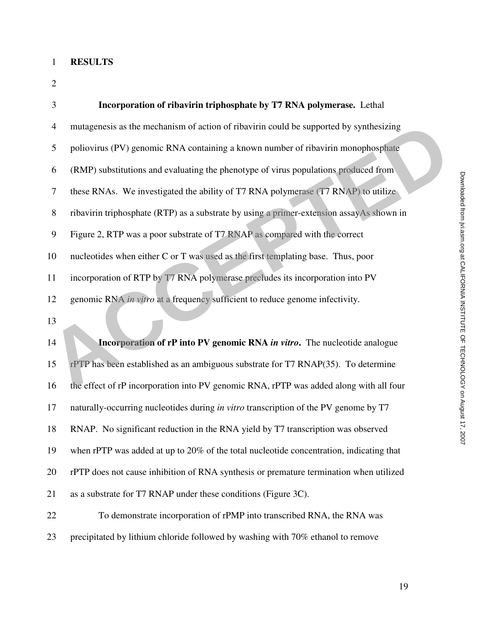2

| 3              | Incorporation of ribavirin triphosphate by T7 RNA polymerase. Lethal                     |
|----------------|------------------------------------------------------------------------------------------|
| $\overline{4}$ | mutagenesis as the mechanism of action of ribavirin could be supported by synthesizing   |
| 5              | poliovirus (PV) genomic RNA containing a known number of ribavirin monophosphate         |
| 6              | (RMP) substitutions and evaluating the phenotype of virus populations produced from      |
| 7              | these RNAs. We investigated the ability of T7 RNA polymerase (T7 RNAP) to utilize        |
| $8\,$          | ribavirin triphosphate (RTP) as a substrate by using a primer-extension assayAs shown in |
| 9              | Figure 2, RTP was a poor substrate of T7 RNAP as compared with the correct               |
| 10             | nucleotides when either C or T was used as the first templating base. Thus, poor         |
| 11             | incorporation of RTP by T7 RNA polymerase precludes its incorporation into PV            |
| 12             | genomic RNA in vitro at a frequency sufficient to reduce genome infectivity.             |
| 13             |                                                                                          |
| 14             | <b>Incorporation of rP into PV genomic RNA in vitro.</b> The nucleotide analogue         |
| 15             | rPTP has been established as an ambiguous substrate for T7 RNAP(35). To determine        |
| 16             | the effect of rP incorporation into PV genomic RNA, rPTP was added along with all four   |

16 the effect of rP incorporation into PV genomic RNA, rPTP was added along with all four

17 naturally-occurring nucleotides during *in vitro* transcription of the PV genome by T7

18 RNAP. No significant reduction in the RNA yield by T7 transcription was observed

19 when rPTP was added at up to 20% of the total nucleotide concentration, indicating that

20 rPTP does not cause inhibition of RNA synthesis or premature termination when utilized

21 as a substrate for T7 RNAP under these conditions (Figure 3C).

22 To demonstrate incorporation of rPMP into transcribed RNA, the RNA was 23 precipitated by lithium chloride followed by washing with 70% ethanol to remove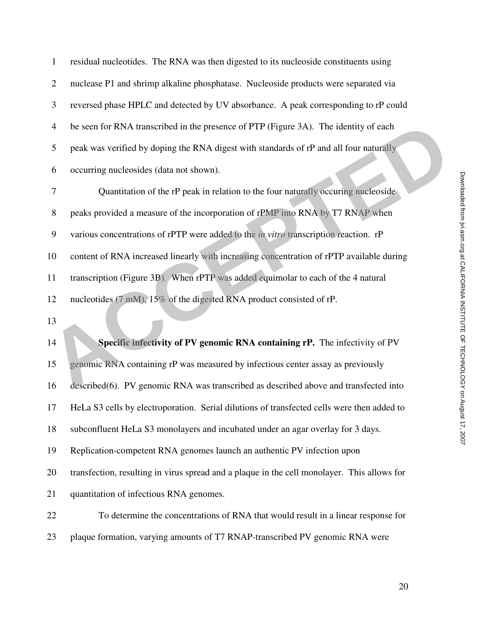1 residual nucleotides. The RNA was then digested to its nucleoside constituents using 2 nuclease P1 and shrimp alkaline phosphatase. Nucleoside products were separated via 3 reversed phase HPLC and detected by UV absorbance. A peak corresponding to rP could 4 be seen for RNA transcribed in the presence of PTP (Figure 3A). The identity of each 5 peak was verified by doping the RNA digest with standards of rP and all four naturally 6 occurring nucleosides (data not shown). 7 Quantitation of the rP peak in relation to the four naturally occuring nucleoside 8 peaks provided a measure of the incorporation of rPMP into RNA by T7 RNAP when 9 various concentrations of rPTP were added to the *in vitro* transcription reaction. rP 10 content of RNA increased linearly with increasing concentration of rPTP available during 11 transcription (Figure 3B). When rPTP was added equimolar to each of the 4 natural 12 nucleotides (7 mM), 15% of the digested RNA product consisted of rP. be seen for RNA transcribed in the presence of PTP (Figure 3A). The identity of each<br>
peak was verified by doping the RNA digest with standards of rP and all four naturally<br>
6 occurring nucleosides (data not shown).<br>
Quant

13

14 **Specific infectivity of PV genomic RNA containing rP.** The infectivity of PV 15 genomic RNA containing rP was measured by infectious center assay as previously 16 described(6). PV genomic RNA was transcribed as described above and transfected into 17 HeLa S3 cells by electroporation. Serial dilutions of transfected cells were then added to 18 subconfluent HeLa S3 monolayers and incubated under an agar overlay for 3 days. 19 Replication-competent RNA genomes launch an authentic PV infection upon 20 transfection, resulting in virus spread and a plaque in the cell monolayer. This allows for 21 quantitation of infectious RNA genomes. 22 To determine the concentrations of RNA that would result in a linear response for 23 plaque formation, varying amounts of T7 RNAP-transcribed PV genomic RNA were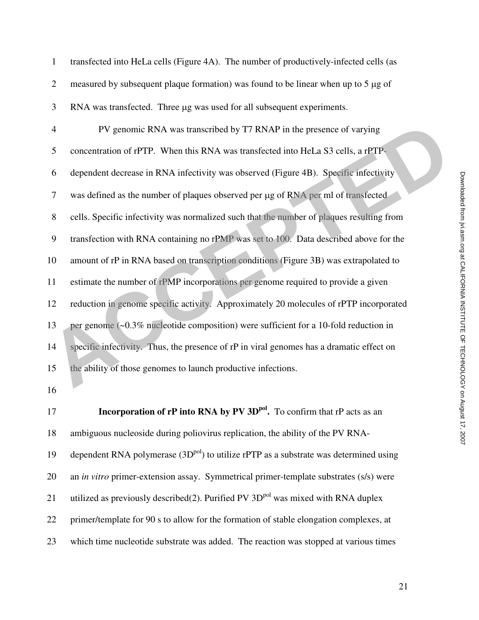1 transfected into HeLa cells (Figure 4A). The number of productively-infected cells (as 2 measured by subsequent plaque formation) was found to be linear when up to 5 µg of 3 RNA was transfected. Three µg was used for all subsequent experiments. 4 PV genomic RNA was transcribed by T7 RNAP in the presence of varying 5 concentration of rPTP. When this RNA was transfected into HeLa S3 cells, a rPTP-6 dependent decrease in RNA infectivity was observed (Figure 4B). Specific infectivity 7 was defined as the number of plaques observed per µg of RNA per ml of transfected 8 cells. Specific infectivity was normalized such that the number of plaques resulting from 9 transfection with RNA containing no rPMP was set to 100. Data described above for the 10 amount of rP in RNA based on transcription conditions (Figure 3B) was extrapolated to 11 estimate the number of rPMP incorporations per genome required to provide a given 12 reduction in genome specific activity. Approximately 20 molecules of rPTP incorporated 13 per genome (~0.3% nucleotide composition) were sufficient for a 10-fold reduction in 14 specific infectivity. Thus, the presence of rP in viral genomes has a dramatic effect on 15 the ability of those genomes to launch productive infections. **EXECUTE 12 THE SET ON A SET ONE INTERFERIT:** The presence of varying<br> **ACCEPTED** Concentration of rPTP. When this RNA was transfected into HeLa S3 cells, a rPTP-<br> **ACCEPTED dependent decrease in RNA** infectivity was obser

16

**Incorporation of rP into RNA by PV 3D<sup>pol</sup>.** To confirm that rP acts as an 18 ambiguous nucleoside during poliovirus replication, the ability of the PV RNA-19 dependent RNA polymerase  $(3D<sup>pol</sup>)$  to utilize rPTP as a substrate was determined using 20 an *in vitro* primer-extension assay. Symmetrical primer-template substrates (s/s) were 21 utilized as previously described(2). Purified PV  $3D^{pol}$  was mixed with RNA duplex 22 primer/template for 90 s to allow for the formation of stable elongation complexes, at 23 which time nucleotide substrate was added. The reaction was stopped at various times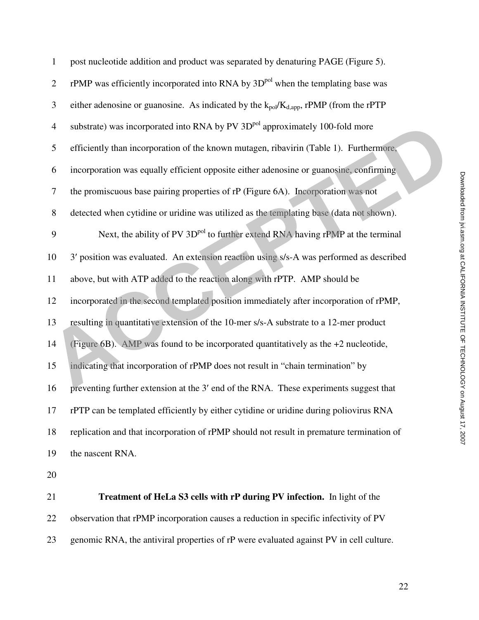| 1                | post nucleotide addition and product was separated by denaturing PAGE (Figure 5).              |
|------------------|------------------------------------------------------------------------------------------------|
| $\overline{2}$   | rPMP was efficiently incorporated into RNA by 3D <sup>pol</sup> when the templating base was   |
| 3                | either adenosine or guanosine. As indicated by the $k_{pol}/K_{d,app}$ , rPMP (from the rPTP   |
| $\overline{4}$   | substrate) was incorporated into RNA by PV 3D <sup>pol</sup> approximately 100-fold more       |
| 5                | efficiently than incorporation of the known mutagen, ribavirin (Table 1). Furthermore,         |
| 6                | incorporation was equally efficient opposite either adenosine or guanosine, confirming         |
| 7                | the promiscuous base pairing properties of rP (Figure 6A). Incorporation was not               |
| 8                | detected when cytidine or uridine was utilized as the templating base (data not shown).        |
| $\boldsymbol{9}$ | Next, the ability of PV 3D <sup>pol</sup> to further extend RNA having rPMP at the terminal    |
| 10               | 3' position was evaluated. An extension reaction using s/s-A was performed as described        |
| 11               | above, but with ATP added to the reaction along with rPTP. AMP should be                       |
| 12               | incorporated in the second templated position immediately after incorporation of rPMP,         |
| 13               | resulting in quantitative extension of the 10-mer s/s-A substrate to a 12-mer product          |
| 14               | (Figure 6B). AMP was found to be incorporated quantitatively as the +2 nucleotide,             |
| 15               | indicating that incorporation of rPMP does not result in "chain termination" by                |
| 16               | preventing further extension at the 3' end of the RNA. These experiments suggest that          |
| 17               | rPTP can be templated efficiently by either cytidine or uridine during poliovirus RNA<br>nonGi |
| 18               | replication and that incorporation of rPMP should not result in premature termination of       |
| 19               | the nascent RNA.                                                                               |
| 20               |                                                                                                |
| 21               | Treatment of HeLa S3 cells with rP during PV infection. In light of the                        |
| 22               | observation that rPMP incorporation causes a reduction in specific infectivity of PV           |
| 23               | genomic RNA, the antiviral properties of rP were evaluated against PV in cell culture.         |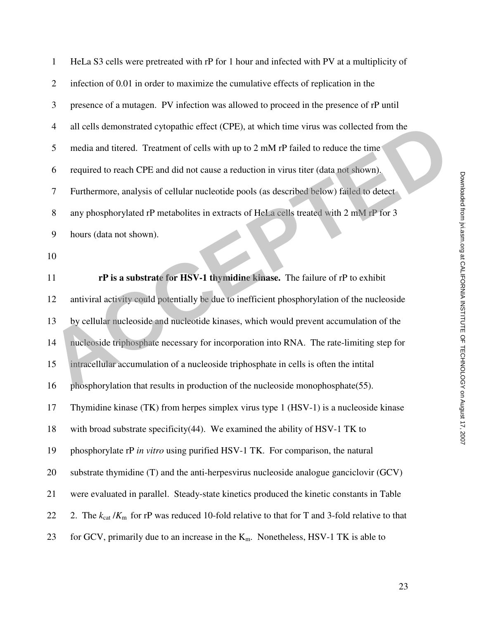| 1              | HeLa S3 cells were pretreated with rP for 1 hour and infected with PV at a multiplicity of                     |
|----------------|----------------------------------------------------------------------------------------------------------------|
| $\overline{2}$ | infection of 0.01 in order to maximize the cumulative effects of replication in the                            |
| 3              | presence of a mutagen. PV infection was allowed to proceed in the presence of rP until                         |
| $\overline{4}$ | all cells demonstrated cytopathic effect (CPE), at which time virus was collected from the                     |
| 5              | media and titered. Treatment of cells with up to 2 mM rP failed to reduce the time                             |
| 6              | required to reach CPE and did not cause a reduction in virus titer (data not shown).                           |
| 7              | Furthermore, analysis of cellular nucleotide pools (as described below) failed to detect                       |
| $8\,$          | any phosphorylated rP metabolites in extracts of HeLa cells treated with 2 mM rP for 3                         |
| 9              | hours (data not shown).                                                                                        |
| 10             |                                                                                                                |
| 11             | rP is a substrate for HSV-1 thymidine kinase. The failure of rP to exhibit                                     |
| 12             | antiviral activity could potentially be due to inefficient phosphorylation of the nucleoside                   |
| 13             | by cellular nucleoside and nucleotide kinases, which would prevent accumulation of the                         |
| 14             | nucleoside triphosphate necessary for incorporation into RNA. The rate-limiting step for                       |
| 15             | intracellular accumulation of a nucleoside triphosphate in cells is often the intital                          |
| 16             | phosphorylation that results in production of the nucleoside monophosphate(55).                                |
| 17             | Thymidine kinase (TK) from herpes simplex virus type 1 (HSV-1) is a nucleoside kinase<br><b>Sucre</b>          |
| 18             | $\sim$<br>with broad substrate specificity $(44)$ . We examined the ability of HSV-1 TK to                     |
| 19             | phosphorylate rP in vitro using purified HSV-1 TK. For comparison, the natural                                 |
| 20             | substrate thymidine (T) and the anti-herpesvirus nucleoside analogue ganciclovir (GCV)                         |
| 21             | were evaluated in parallel. Steady-state kinetics produced the kinetic constants in Table                      |
| 22             | 2. The $k_{cat}$ /K <sub>m</sub> for rP was reduced 10-fold relative to that for T and 3-fold relative to that |
| 23             | for GCV, primarily due to an increase in the $K_m$ . Nonetheless, HSV-1 TK is able to                          |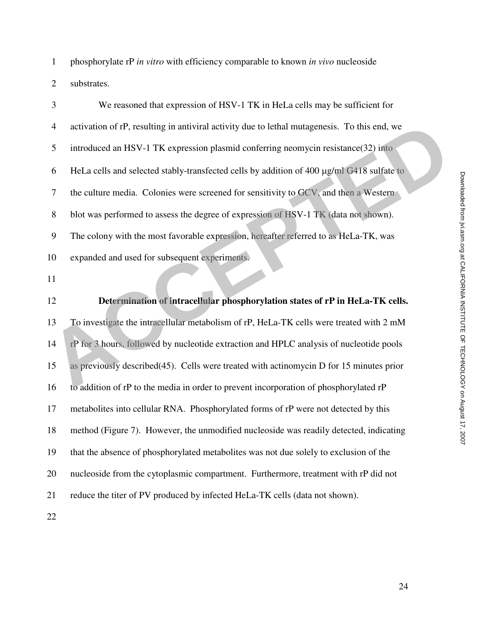1 phosphorylate rP *in vitro* with efficiency comparable to known *in vivo* nucleoside

2 substrates.

| 3              | We reasoned that expression of HSV-1 TK in HeLa cells may be sufficient for                  |
|----------------|----------------------------------------------------------------------------------------------|
| $\overline{4}$ | activation of rP, resulting in antiviral activity due to lethal mutagenesis. To this end, we |
| 5              | introduced an HSV-1 TK expression plasmid conferring neomycin resistance(32) into            |
| 6              | HeLa cells and selected stably-transfected cells by addition of 400 µg/ml G418 sulfate to    |
| $\tau$         | the culture media. Colonies were screened for sensitivity to GCV, and then a Western         |
| 8              | blot was performed to assess the degree of expression of HSV-1 TK (data not shown).          |
| 9              | The colony with the most favorable expression, hereafter referred to as HeLa-TK, was         |
| 10             | expanded and used for subsequent experiments.                                                |
| 11             |                                                                                              |
| 12             | Determination of intracellular phosphorylation states of rP in HeLa-TK cells.                |
| 13             | To investigate the intracellular metabolism of rP, HeLa-TK cells were treated with 2 mM      |
| 14             | rP for 3 hours, followed by nucleotide extraction and HPLC analysis of nucleotide pools      |
| 15             | as previously described (45). Cells were treated with actinomycin D for 15 minutes prior     |
| 16             | to addition of rP to the media in order to prevent incorporation of phosphorylated rP        |
| 17             | metabolites into cellular RNA. Phosphorylated forms of rP were not detected by this          |
| 18             | method (Figure 7). However, the unmodified nucleoside was readily detected, indicating       |
| 19             | that the absence of phosphorylated metabolites was not due solely to exclusion of the        |
| 20             | nucleoside from the cytoplasmic compartment. Furthermore, treatment with rP did not          |
| 21             | reduce the titer of PV produced by infected HeLa-TK cells (data not shown).                  |
| 22             |                                                                                              |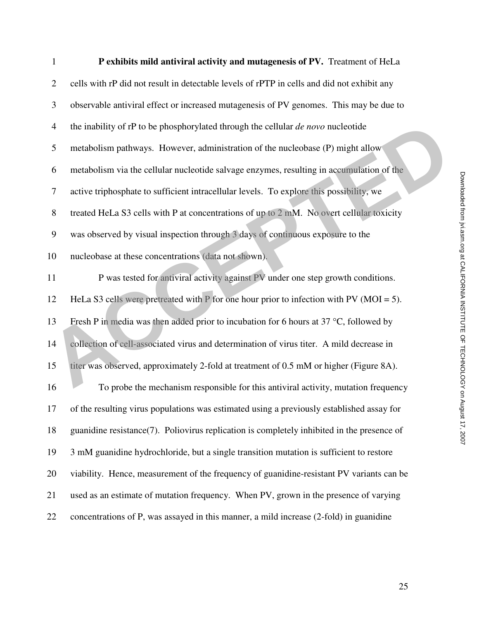| 1              | P exhibits mild antiviral activity and mutagenesis of PV. Treatment of HeLa                        |
|----------------|----------------------------------------------------------------------------------------------------|
| $\overline{2}$ | cells with rP did not result in detectable levels of rPTP in cells and did not exhibit any         |
| 3              | observable antiviral effect or increased mutagenesis of PV genomes. This may be due to             |
| $\overline{4}$ | the inability of rP to be phosphorylated through the cellular <i>de novo</i> nucleotide            |
| 5              | metabolism pathways. However, administration of the nucleobase (P) might allow                     |
| 6              | metabolism via the cellular nucleotide salvage enzymes, resulting in accumulation of the           |
| 7              | active triphosphate to sufficient intracellular levels. To explore this possibility, we            |
| 8              | treated HeLa S3 cells with P at concentrations of up to 2 mM. No overt cellular toxicity           |
| 9              | was observed by visual inspection through 3 days of continuous exposure to the                     |
| 10             | nucleobase at these concentrations (data not shown).                                               |
| 11             | P was tested for antiviral activity against PV under one step growth conditions.                   |
| 12             | HeLa S3 cells were pretreated with P for one hour prior to infection with PV ( $MOI = 5$ ).        |
| 13             | Fresh P in media was then added prior to incubation for 6 hours at $37^{\circ}$ C, followed by     |
| 14             | collection of cell-associated virus and determination of virus titer. A mild decrease in           |
| 15             | titer was observed, approximately 2-fold at treatment of 0.5 mM or higher (Figure 8A).             |
| 16             | To probe the mechanism responsible for this antiviral activity, mutation frequency                 |
| 17             | of the resulting virus populations was estimated using a previously established assay for<br>nonGi |
| 18             | guanidine resistance(7). Poliovirus replication is completely inhibited in the presence of         |
| 19             | 3 mM guanidine hydrochloride, but a single transition mutation is sufficient to restore            |
| 20             | viability. Hence, measurement of the frequency of guanidine-resistant PV variants can be           |
| 21             | used as an estimate of mutation frequency. When PV, grown in the presence of varying               |
| 22             | concentrations of P, was assayed in this manner, a mild increase (2-fold) in guanidine             |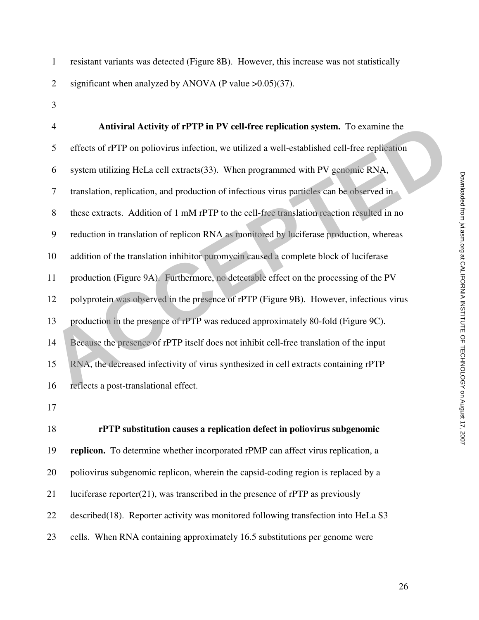1 resistant variants was detected (Figure 8B). However, this increase was not statistically 2 significant when analyzed by ANOVA (P value > 0.05)(37).

3

4 **Antiviral Activity of rPTP in PV cell-free replication system.** To examine the 5 effects of rPTP on poliovirus infection, we utilized a well-established cell-free replication 6 system utilizing HeLa cell extracts(33). When programmed with PV genomic RNA, 7 translation, replication, and production of infectious virus particles can be observed in 8 these extracts. Addition of 1 mM rPTP to the cell-free translation reaction resulted in no 9 reduction in translation of replicon RNA as monitored by luciferase production, whereas 10 addition of the translation inhibitor puromycin caused a complete block of luciferase 11 production (Figure 9A). Furthermore, no detectable effect on the processing of the PV 12 polyprotein was observed in the presence of rPTP (Figure 9B). However, infectious virus 13 production in the presence of rPTP was reduced approximately 80-fold (Figure 9C). 14 Because the presence of rPTP itself does not inhibit cell-free translation of the input 15 RNA, the decreased infectivity of virus synthesized in cell extracts containing rPTP 16 reflects a post-translational effect. **Antiviral Activity of rPTP in PV cell-free replication system. To examine the<br>
effects of rPTP on poliovirus infection, we utilized a well-established cell-free replication<br>
6 system utilizing HeLa cell extracts(33). When** 

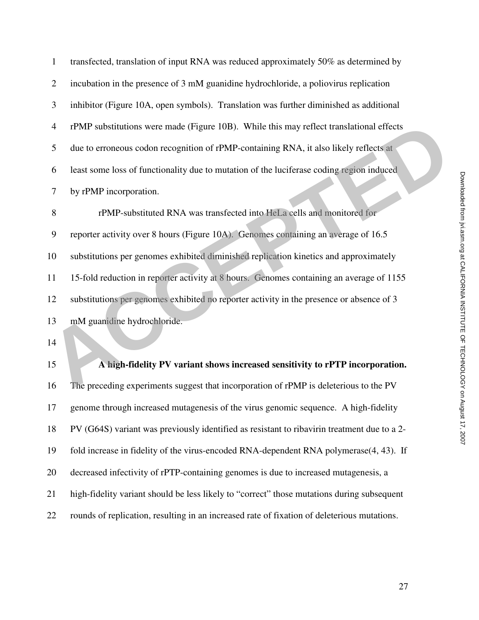1 transfected, translation of input RNA was reduced approximately 50% as determined by 2 incubation in the presence of 3 mM guanidine hydrochloride, a poliovirus replication 3 inhibitor (Figure 10A, open symbols). Translation was further diminished as additional 4 rPMP substitutions were made (Figure 10B). While this may reflect translational effects 5 due to erroneous codon recognition of rPMP-containing RNA, it also likely reflects at 6 least some loss of functionality due to mutation of the luciferase coding region induced 7 by rPMP incorporation. 8 rPMP-substituted RNA was transfected into HeLa cells and monitored for 9 reporter activity over 8 hours (Figure 10A). Genomes containing an average of 16.5 10 substitutions per genomes exhibited diminished replication kinetics and approximately 11 15-fold reduction in reporter activity at 8 hours. Genomes containing an average of 1155 12 substitutions per genomes exhibited no reporter activity in the presence or absence of 3 **EMP substitutions were made (Figure 10B). While this may reflect translational effects<br>
<b>ACCEPTED** due to cronocous codon recognition of rPMP-containing RNA, it also likely reflects at<br> **ACCEPTED** least some loss of funct

13 mM guanidine hydrochloride.

14

## 15 **A high-fidelity PV variant shows increased sensitivity to rPTP incorporation.**

16 The preceding experiments suggest that incorporation of rPMP is deleterious to the PV 17 genome through increased mutagenesis of the virus genomic sequence. A high-fidelity 18 PV (G64S) variant was previously identified as resistant to ribavirin treatment due to a 2- 19 fold increase in fidelity of the virus-encoded RNA-dependent RNA polymerase(4, 43). If 20 decreased infectivity of rPTP-containing genomes is due to increased mutagenesis, a 21 high-fidelity variant should be less likely to "correct" those mutations during subsequent 22 rounds of replication, resulting in an increased rate of fixation of deleterious mutations.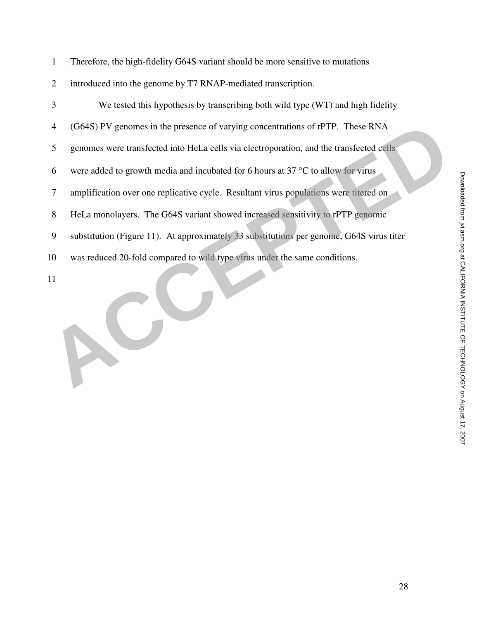1 Therefore, the high-fidelity G64S variant should be more sensitive to mutations

2 introduced into the genome by T7 RNAP-mediated transcription.

3 We tested this hypothesis by transcribing both wild type (WT) and high fidelity 4 (G64S) PV genomes in the presence of varying concentrations of rPTP. These RNA 5 genomes were transfected into HeLa cells via electroporation, and the transfected cells 6 were added to growth media and incubated for 6 hours at  $37 \degree C$  to allow for virus 7 amplification over one replicative cycle. Resultant virus populations were titered on 8 HeLa monolayers. The G64S variant showed increased sensitivity to rPTP genomic 9 substitution (Figure 11). At approximately 33 substitutions per genome, G64S virus titer 10 was reduced 20-fold compared to wild type virus under the same conditions. 1(G64S) PV genomes in the presence of varying concentrations of rPTP. These RNA<br>
5 genomes were transfected into HeLa cells via electroporation, and the transfected cells<br>
6 were added to growth media and incubated for 6 h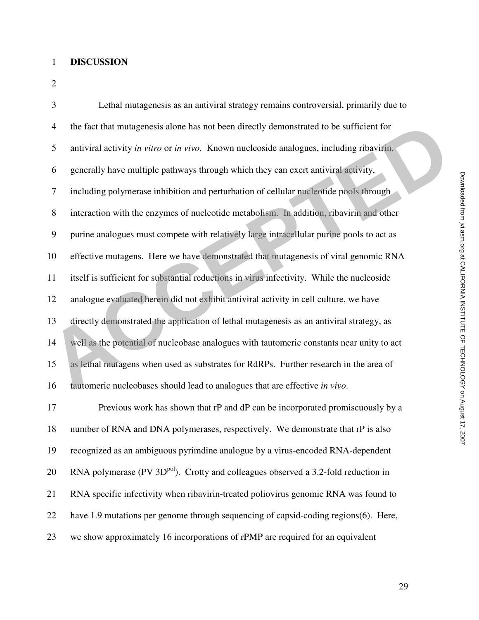#### 1 **DISCUSSION**

2

3 Lethal mutagenesis as an antiviral strategy remains controversial, primarily due to 4 the fact that mutagenesis alone has not been directly demonstrated to be sufficient for 5 antiviral activity *in vitro* or *in vivo*. Known nucleoside analogues, including ribavirin, 6 generally have multiple pathways through which they can exert antiviral activity, 7 including polymerase inhibition and perturbation of cellular nucleotide pools through 8 interaction with the enzymes of nucleotide metabolism. In addition, ribavirin and other 9 purine analogues must compete with relatively large intracellular purine pools to act as 10 effective mutagens. Here we have demonstrated that mutagenesis of viral genomic RNA 11 itself is sufficient for substantial reductions in virus infectivity. While the nucleoside 12 analogue evaluated herein did not exhibit antiviral activity in cell culture, we have 13 directly demonstrated the application of lethal mutagenesis as an antiviral strategy, as 14 well as the potential of nucleobase analogues with tautomeric constants near unity to act 15 as lethal mutagens when used as substrates for RdRPs. Further research in the area of 16 tautomeric nucleobases should lead to analogues that are effective *in vivo*. 17 Previous work has shown that rP and dP can be incorporated promiscuously by a 18 number of RNA and DNA polymerases, respectively. We demonstrate that rP is also 19 recognized as an ambiguous pyrimdine analogue by a virus-encoded RNA-dependent 20 RNA polymerase (PV  $3D^{pol}$ ). Crotty and colleagues observed a 3.2-fold reduction in 21 RNA specific infectivity when ribavirin-treated poliovirus genomic RNA was found to 22 have 1.9 mutations per genome through sequencing of capsid-coding regions(6). Here, 23 we show approximately 16 incorporations of rPMP are required for an equivalent The fact that mutagenesis alone has not been directly demonstrated to be sufficient for<br>
antiviral activity *in vitro* or *in vivo*. Known nucleoside analogues, including ribavirin,<br>
for generally have multiple pathways th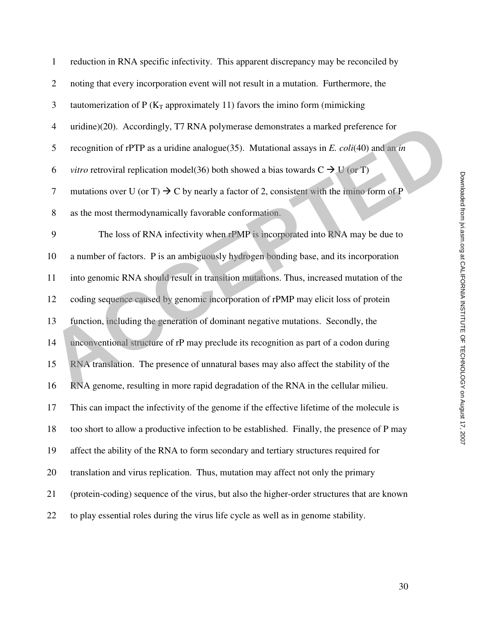| $\mathbf{1}$   | reduction in RNA specific infectivity. This apparent discrepancy may be reconciled by                |
|----------------|------------------------------------------------------------------------------------------------------|
| $\overline{2}$ | noting that every incorporation event will not result in a mutation. Furthermore, the                |
| 3              | tautomerization of P ( $K_T$ approximately 11) favors the imino form (mimicking                      |
| $\overline{4}$ | uridine)(20). Accordingly, T7 RNA polymerase demonstrates a marked preference for                    |
| 5              | recognition of rPTP as a uridine analogue $(35)$ . Mutational assays in E. coli $(40)$ and an in     |
| 6              | <i>vitro</i> retroviral replication model(36) both showed a bias towards $C \rightarrow U$ (or T)    |
| $\tau$         | mutations over U (or T) $\rightarrow$ C by nearly a factor of 2, consistent with the imino form of P |
| $8\,$          | as the most thermodynamically favorable conformation.                                                |
| 9              | The loss of RNA infectivity when rPMP is incorporated into RNA may be due to                         |
| 10             | a number of factors. P is an ambiguously hydrogen bonding base, and its incorporation                |
| 11             | into genomic RNA should result in transition mutations. Thus, increased mutation of the              |
| 12             | coding sequence caused by genomic incorporation of rPMP may elicit loss of protein                   |
| 13             | function, including the generation of dominant negative mutations. Secondly, the                     |
| 14             | unconventional structure of rP may preclude its recognition as part of a codon during                |
| 15             | RNA translation. The presence of unnatural bases may also affect the stability of the                |
| 16             | RNA genome, resulting in more rapid degradation of the RNA in the cellular milieu.                   |
| 17             | This can impact the infectivity of the genome if the effective lifetime of the molecule is<br>non    |
| 18             | こう<br>too short to allow a productive infection to be established. Finally, the presence of P may    |
| 19             | affect the ability of the RNA to form secondary and tertiary structures required for                 |
| 20             | translation and virus replication. Thus, mutation may affect not only the primary                    |
| 21             | (protein-coding) sequence of the virus, but also the higher-order structures that are known          |
| 22             | to play essential roles during the virus life cycle as well as in genome stability.                  |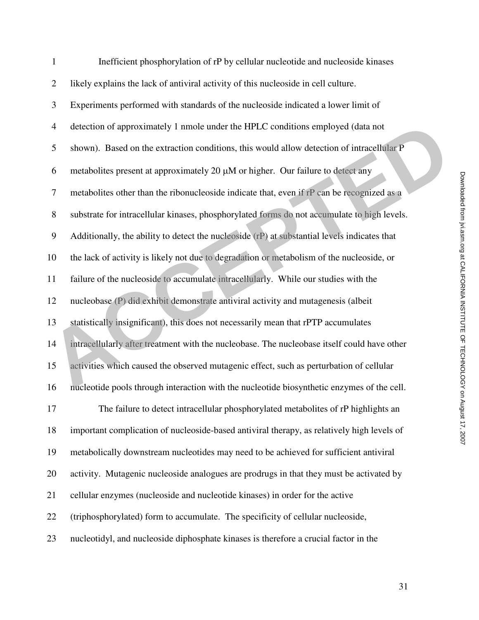| 1              | Inefficient phosphorylation of rP by cellular nucleotide and nucleoside kinases              |
|----------------|----------------------------------------------------------------------------------------------|
| $\overline{2}$ | likely explains the lack of antiviral activity of this nucleoside in cell culture.           |
| 3              | Experiments performed with standards of the nucleoside indicated a lower limit of            |
| $\overline{4}$ | detection of approximately 1 nmole under the HPLC conditions employed (data not              |
| 5              | shown). Based on the extraction conditions, this would allow detection of intracellular P    |
| 6              | metabolites present at approximately 20 $\mu$ M or higher. Our failure to detect any         |
| $\tau$         | metabolites other than the ribonucleoside indicate that, even if rP can be recognized as a   |
| $8\,$          | substrate for intracellular kinases, phosphorylated forms do not accumulate to high levels.  |
| 9              | Additionally, the ability to detect the nucleoside (rP) at substantial levels indicates that |
| 10             | the lack of activity is likely not due to degradation or metabolism of the nucleoside, or    |
| 11             | failure of the nucleoside to accumulate intracellularly. While our studies with the          |
| 12             | nucleobase (P) did exhibit demonstrate antiviral activity and mutagenesis (albeit            |
| 13             | statistically insignificant), this does not necessarily mean that rPTP accumulates           |
| 14             | intracellularly after treatment with the nucleobase. The nucleobase itself could have other  |
| 15             | activities which caused the observed mutagenic effect, such as perturbation of cellular      |
| 16             | nucleotide pools through interaction with the nucleotide biosynthetic enzymes of the cell.   |
| 17             | The failure to detect intracellular phosphorylated metabolites of rP highlights an<br>anna   |
| 18             | important complication of nucleoside-based antiviral therapy, as relatively high levels of   |
| 19             | metabolically downstream nucleotides may need to be achieved for sufficient antiviral        |
| 20             | activity. Mutagenic nucleoside analogues are prodrugs in that they must be activated by      |
| 21             | cellular enzymes (nucleoside and nucleotide kinases) in order for the active                 |
| 22             | (triphosphorylated) form to accumulate. The specificity of cellular nucleoside,              |
| 23             | nucleotidyl, and nucleoside diphosphate kinases is therefore a crucial factor in the         |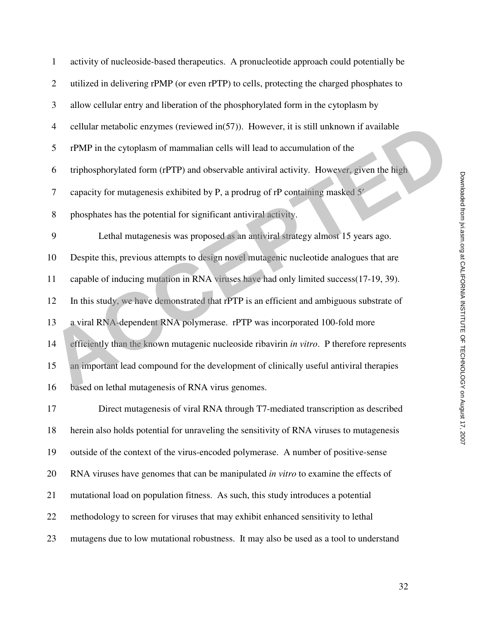| $\mathbf{1}$     | activity of nucleoside-based therapeutics. A pronucleotide approach could potentially be    |
|------------------|---------------------------------------------------------------------------------------------|
| $\overline{2}$   | utilized in delivering rPMP (or even rPTP) to cells, protecting the charged phosphates to   |
| 3                | allow cellular entry and liberation of the phosphorylated form in the cytoplasm by          |
| $\overline{4}$   | cellular metabolic enzymes (reviewed in $(57)$ ). However, it is still unknown if available |
| 5                | rPMP in the cytoplasm of mammalian cells will lead to accumulation of the                   |
| 6                | triphosphorylated form (rPTP) and observable antiviral activity. However, given the high    |
| $\tau$           | capacity for mutagenesis exhibited by P, a prodrug of rP containing masked 5'               |
| 8                | phosphates has the potential for significant antiviral activity.                            |
| $\boldsymbol{9}$ | Lethal mutagenesis was proposed as an antiviral strategy almost 15 years ago.               |
| 10               | Despite this, previous attempts to design novel mutagenic nucleotide analogues that are     |
| 11               | capable of inducing mutation in RNA viruses have had only limited success(17-19, 39).       |
| 12               | In this study, we have demonstrated that rPTP is an efficient and ambiguous substrate of    |
| 13               | a viral RNA-dependent RNA polymerase. rPTP was incorporated 100-fold more                   |
| 14               | efficiently than the known mutagenic nucleoside ribavirin in vitro. P therefore represents  |
| 15               | an important lead compound for the development of clinically useful antiviral therapies     |
| 16               | based on lethal mutagenesis of RNA virus genomes.                                           |
| 17               | nonfin<br>Direct mutagenesis of viral RNA through T7-mediated transcription as described    |
| 18               | herein also holds potential for unraveling the sensitivity of RNA viruses to mutagenesis    |
| 19               | outside of the context of the virus-encoded polymerase. A number of positive-sense          |
| 20               | RNA viruses have genomes that can be manipulated in vitro to examine the effects of         |
| 21               | mutational load on population fitness. As such, this study introduces a potential           |
| 22               | methodology to screen for viruses that may exhibit enhanced sensitivity to lethal           |
| 23               | mutagens due to low mutational robustness. It may also be used as a tool to understand      |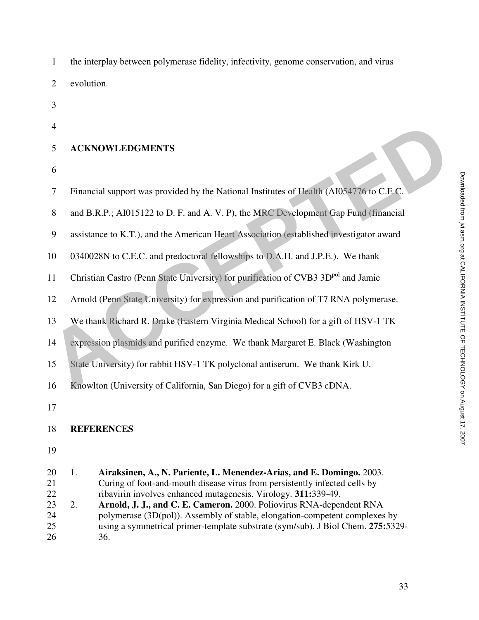| $\mathbf{1}$ | the interplay between polymerase fidelity, infectivity, genome conservation, and virus                                                                    |
|--------------|-----------------------------------------------------------------------------------------------------------------------------------------------------------|
| 2            | evolution.                                                                                                                                                |
| 3            |                                                                                                                                                           |
| 4            |                                                                                                                                                           |
| 5            | <b>ACKNOWLEDGMENTS</b>                                                                                                                                    |
| 6            |                                                                                                                                                           |
| 7            | Financial support was provided by the National Institutes of Health (AI054776 to C.E.C.                                                                   |
| $8\,$        | and B.R.P.; AI015122 to D. F. and A. V. P), the MRC Development Gap Fund (financial                                                                       |
| 9            | assistance to K.T.), and the American Heart Association (established investigator award                                                                   |
| 10           | 0340028N to C.E.C. and predoctoral fellowships to D.A.H. and J.P.E.). We thank                                                                            |
| 11           | Christian Castro (Penn State University) for purification of CVB3 3D <sup>pol</sup> and Jamie                                                             |
| 12           | Arnold (Penn State University) for expression and purification of T7 RNA polymerase.                                                                      |
| 13           | We thank Richard R. Drake (Eastern Virginia Medical School) for a gift of HSV-1 TK                                                                        |
| 14           | expression plasmids and purified enzyme. We thank Margaret E. Black (Washington                                                                           |
| 15           | State University) for rabbit HSV-1 TK polyclonal antiserum. We thank Kirk U.                                                                              |
| 16           | Knowlton (University of California, San Diego) for a gift of CVB3 cDNA.                                                                                   |
| 17           | <b>Pool</b>                                                                                                                                               |
| 18           | <b>REFERENCES</b>                                                                                                                                         |
| 19           |                                                                                                                                                           |
| 20           | Airaksinen, A., N. Pariente, L. Menendez-Arias, and E. Domingo. 2003.<br>1.                                                                               |
| 21<br>22     | Curing of foot-and-mouth disease virus from persistently infected cells by<br>ribavirin involves enhanced mutagenesis. Virology. 311:339-49.              |
| 23<br>24     | Arnold, J. J., and C. E. Cameron. 2000. Poliovirus RNA-dependent RNA<br>2.<br>polymerase (3D(pol)). Assembly of stable, elongation-competent complexes by |

25 using a symmetrical primer-template substrate (sym/sub). J Biol Chem. **275:**5329- 24 poly<br>
25 usin<br>
26 36.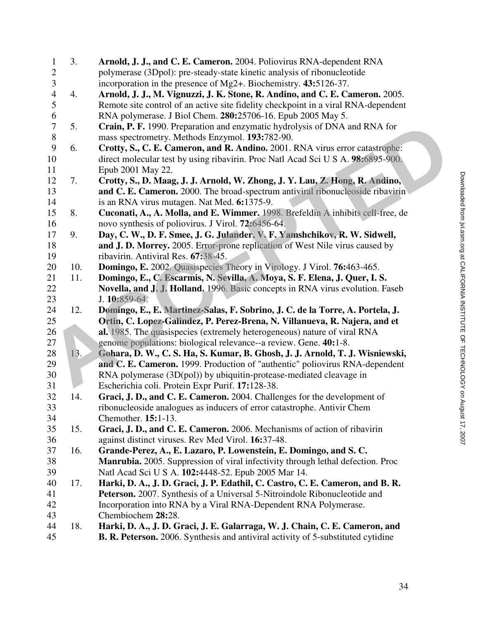| $\mathbf{1}$            | 3.  | Arnold, J. J., and C. E. Cameron. 2004. Poliovirus RNA-dependent RNA                    |
|-------------------------|-----|-----------------------------------------------------------------------------------------|
| $\sqrt{2}$              |     | polymerase (3Dpol): pre-steady-state kinetic analysis of ribonucleotide                 |
| $\overline{\mathbf{3}}$ |     | incorporation in the presence of Mg2+. Biochemistry. 43:5126-37.                        |
| $\overline{4}$          | 4.  | Arnold, J. J., M. Vignuzzi, J. K. Stone, R. Andino, and C. E. Cameron. 2005.            |
| 5                       |     | Remote site control of an active site fidelity checkpoint in a viral RNA-dependent      |
| 6                       |     | RNA polymerase. J Biol Chem. 280:25706-16. Epub 2005 May 5.                             |
| $\boldsymbol{7}$        | 5.  | Crain, P. F. 1990. Preparation and enzymatic hydrolysis of DNA and RNA for              |
| $8\,$                   |     | mass spectrometry. Methods Enzymol. 193:782-90.                                         |
| 9                       | 6.  | Crotty, S., C. E. Cameron, and R. Andino. 2001. RNA virus error catastrophe:            |
| 10                      |     | direct molecular test by using ribavirin. Proc Natl Acad Sci U S A. 98:6895-900.        |
| 11                      |     | Epub 2001 May 22.                                                                       |
| 12                      | 7.  | Crotty, S., D. Maag, J. J. Arnold, W. Zhong, J. Y. Lau, Z. Hong, R. Andino,             |
| 13                      |     | and C. E. Cameron. 2000. The broad-spectrum antiviral ribonucleoside ribavirin          |
| 14                      |     | is an RNA virus mutagen. Nat Med. 6:1375-9.                                             |
| 15                      | 8.  | Cuconati, A., A. Molla, and E. Wimmer. 1998. Brefeldin A inhibits cell-free, de         |
| 16                      |     | novo synthesis of poliovirus. J Virol. 72:6456-64.                                      |
| 17                      | 9.  | Day, C. W., D. F. Smee, J. G. Julander, V. F. Yamshchikov, R. W. Sidwell,               |
| 18                      |     | and J. D. Morrey. 2005. Error-prone replication of West Nile virus caused by            |
| 19                      |     | ribavirin. Antiviral Res. 67:38-45.                                                     |
| 20                      | 10. | <b>Domingo, E.</b> 2002. Quasispecies Theory in Virology. J Virol. <b>76:</b> 463-465.  |
| 21                      | 11. | Domingo, E., C. Escarmis, N. Sevilla, A. Moya, S. F. Elena, J. Quer, I. S.              |
| 22                      |     | Novella, and J. J. Holland. 1996. Basic concepts in RNA virus evolution. Faseb          |
| 23                      |     | J. 10:859-64.                                                                           |
| 24                      | 12. | Domingo, E., E. Martinez-Salas, F. Sobrino, J. C. de la Torre, A. Portela, J.           |
| 25                      |     | Ortin, C. Lopez-Galindez, P. Perez-Brena, N. Villanueva, R. Najera, and et              |
| 26                      |     | al. 1985. The quasispecies (extremely heterogeneous) nature of viral RNA                |
| 27                      |     | genome populations: biological relevance--a review. Gene. 40:1-8.                       |
| 28                      | 13. | Gohara, D. W., C. S. Ha, S. Kumar, B. Ghosh, J. J. Arnold, T. J. Wisniewski,            |
| 29                      |     | and C. E. Cameron. 1999. Production of "authentic" poliovirus RNA-dependent             |
| 30                      |     | RNA polymerase (3D(pol)) by ubiquitin-protease-mediated cleavage in                     |
| 31                      |     | Escherichia coli. Protein Expr Purif. 17:128-38.                                        |
| 32                      | 14. | Graci, J. D., and C. E. Cameron. 2004. Challenges for the development of                |
| 33                      |     | ribonucleoside analogues as inducers of error catastrophe. Antivir Chem                 |
| 34                      |     | Chemother. $15:1-13$ .                                                                  |
| 35                      | 15. | Graci, J. D., and C. E. Cameron. 2006. Mechanisms of action of ribavirin                |
| 36                      |     | against distinct viruses. Rev Med Virol. 16:37-48.                                      |
| 37                      | 16. | Grande-Perez, A., E. Lazaro, P. Lowenstein, E. Domingo, and S. C.                       |
| 38                      |     | Manrubia. 2005. Suppression of viral infectivity through lethal defection. Proc         |
| 39                      |     | Natl Acad Sci U S A. 102:4448-52. Epub 2005 Mar 14.                                     |
| 40                      | 17. | Harki, D. A., J. D. Graci, J. P. Edathil, C. Castro, C. E. Cameron, and B. R.           |
| 41                      |     |                                                                                         |
|                         |     | Peterson. 2007. Synthesis of a Universal 5-Nitroindole Ribonucleotide and               |
| 42                      |     | Incorporation into RNA by a Viral RNA-Dependent RNA Polymerase.<br>Chembiochem 28:28.   |
| 43                      |     |                                                                                         |
| 44                      | 18. | Harki, D. A., J. D. Graci, J. E. Galarraga, W. J. Chain, C. E. Cameron, and             |
| 45                      |     | <b>B. R. Peterson.</b> 2006. Synthesis and antiviral activity of 5-substituted cytidine |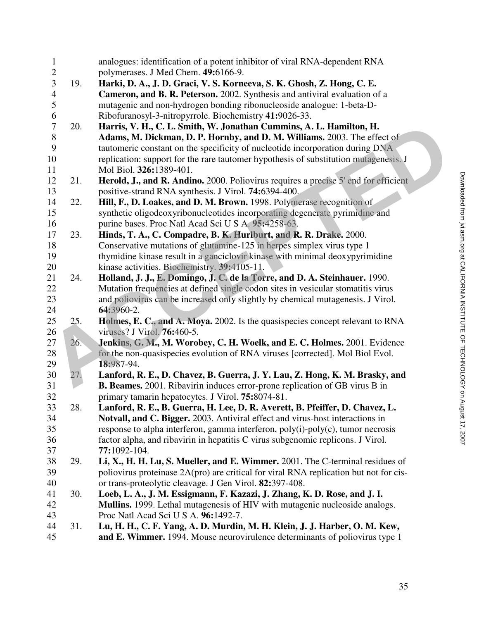| 1                |     | analogues: identification of a potent inhibitor of viral RNA-dependent RNA                  |
|------------------|-----|---------------------------------------------------------------------------------------------|
| $\mathbf{2}$     |     | polymerases. J Med Chem. 49:6166-9.                                                         |
| 3                | 19. | Harki, D. A., J. D. Graci, V. S. Korneeva, S. K. Ghosh, Z. Hong, C. E.                      |
| $\overline{4}$   |     | <b>Cameron, and B. R. Peterson.</b> 2002. Synthesis and antiviral evaluation of a           |
| $\mathfrak s$    |     | mutagenic and non-hydrogen bonding ribonucleoside analogue: 1-beta-D-                       |
| 6                |     | Ribofuranosyl-3-nitropyrrole. Biochemistry 41:9026-33.                                      |
| $\boldsymbol{7}$ | 20. | Harris, V. H., C. L. Smith, W. Jonathan Cummins, A. L. Hamilton, H.                         |
| 8                |     | Adams, M. Dickman, D. P. Hornby, and D. M. Williams. 2003. The effect of                    |
| 9                |     | tautomeric constant on the specificity of nucleotide incorporation during DNA               |
| 10               |     | replication: support for the rare tautomer hypothesis of substitution mutagenesis. J        |
| 11               |     | Mol Biol. 326:1389-401.                                                                     |
| 12               | 21. | Herold, J., and R. Andino. 2000. Poliovirus requires a precise 5' end for efficient         |
| 13               |     | positive-strand RNA synthesis. J Virol. 74:6394-400.                                        |
| 14               | 22. | Hill, F., D. Loakes, and D. M. Brown. 1998. Polymerase recognition of                       |
| 15               |     | synthetic oligodeoxyribonucleotides incorporating degenerate pyrimidine and                 |
| 16               |     | purine bases. Proc Natl Acad Sci U S A, 95:4258-63.                                         |
| 17               | 23. | Hinds, T. A., C. Compadre, B. K. Hurlburt, and R. R. Drake. 2000.                           |
| 18               |     | Conservative mutations of glutamine-125 in herpes simplex virus type 1                      |
| 19               |     | thymidine kinase result in a ganciclovir kinase with minimal deoxypyrimidine                |
| 20               |     | kinase activities. Biochemistry. 39:4105-11.                                                |
| 21               | 24. | Holland, J. J., E. Domingo, J. C. de la Torre, and D. A. Steinhauer. 1990.                  |
| 22               |     | Mutation frequencies at defined single codon sites in vesicular stomatitis virus            |
| 23               |     | and poliovirus can be increased only slightly by chemical mutagenesis. J Virol.             |
| 24               |     | 64:3960-2.                                                                                  |
| 25               | 25. | Holmes, E. C., and A. Moya. 2002. Is the quasispecies concept relevant to RNA               |
| 26               |     | viruses? J Virol. 76:460-5.                                                                 |
| 27               | 26. | Jenkins, G. M., M. Worobey, C. H. Woelk, and E. C. Holmes. 2001. Evidence                   |
| 28               |     | for the non-quasispecies evolution of RNA viruses [corrected]. Mol Biol Evol.               |
| 29               |     | 18:987-94.                                                                                  |
| 30               | 27. | Lanford, R. E., D. Chavez, B. Guerra, J. Y. Lau, Z. Hong, K. M. Brasky, and                 |
| 31               |     | B. Beames. 2001. Ribavirin induces error-prone replication of GB virus B in                 |
| 32               |     | primary tamarin hepatocytes. J Virol. 75:8074-81.                                           |
| 33               | 28. | Lanford, R. E., B. Guerra, H. Lee, D. R. Averett, B. Pfeiffer, D. Chavez, L.<br><b>Augr</b> |
| 34               |     | Notvall, and C. Bigger. 2003. Antiviral effect and virus-host interactions in               |
| 35               |     | response to alpha interferon, gamma interferon, poly(i)-poly(c), tumor necrosis             |
| 36               |     | factor alpha, and ribavirin in hepatitis C virus subgenomic replicons. J Virol.             |
| 37               |     | 77:1092-104.                                                                                |
| 38               | 29. | Li, X., H. H. Lu, S. Mueller, and E. Wimmer. 2001. The C-terminal residues of               |
| 39               |     | poliovirus proteinase 2A(pro) are critical for viral RNA replication but not for cis-       |
| 40               |     | or trans-proteolytic cleavage. J Gen Virol. 82:397-408.                                     |
| 41               | 30. | Loeb, L. A., J. M. Essigmann, F. Kazazi, J. Zhang, K. D. Rose, and J. I.                    |
| 42               |     | Mullins. 1999. Lethal mutagenesis of HIV with mutagenic nucleoside analogs.                 |
| 43               |     | Proc Natl Acad Sci U S A. 96:1492-7.                                                        |
| 44               | 31. | Lu, H. H., C. F. Yang, A. D. Murdin, M. H. Klein, J. J. Harber, O. M. Kew,                  |
| 45               |     | and E. Wimmer. 1994. Mouse neurovirulence determinants of poliovirus type 1                 |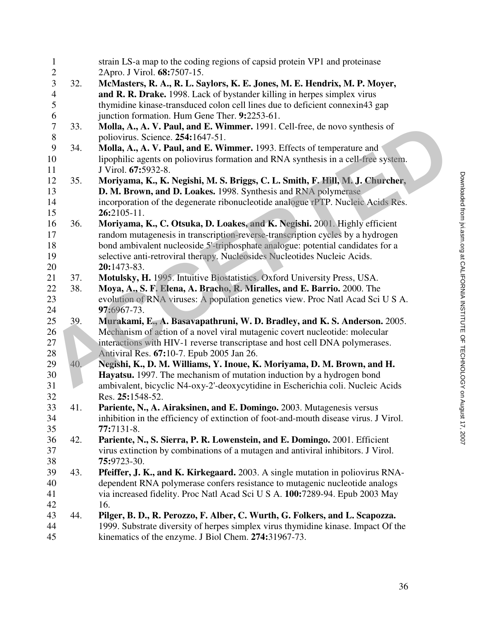| $\mathbf{2}$<br>2Apro. J Virol. 68:7507-15.<br>3<br>32.<br>McMasters, R. A., R. L. Saylors, K. E. Jones, M. E. Hendrix, M. P. Moyer,<br>$\overline{4}$<br>and R. R. Drake. 1998. Lack of bystander killing in herpes simplex virus<br>5<br>thymidine kinase-transduced colon cell lines due to deficient connexin43 gap<br>6<br>junction formation. Hum Gene Ther. 9:2253-61.<br>$\boldsymbol{7}$<br>Molla, A., A. V. Paul, and E. Wimmer. 1991. Cell-free, de novo synthesis of<br>33.<br>$8\,$<br>poliovirus. Science. 254:1647-51. |       |
|---------------------------------------------------------------------------------------------------------------------------------------------------------------------------------------------------------------------------------------------------------------------------------------------------------------------------------------------------------------------------------------------------------------------------------------------------------------------------------------------------------------------------------------|-------|
|                                                                                                                                                                                                                                                                                                                                                                                                                                                                                                                                       |       |
|                                                                                                                                                                                                                                                                                                                                                                                                                                                                                                                                       |       |
|                                                                                                                                                                                                                                                                                                                                                                                                                                                                                                                                       |       |
|                                                                                                                                                                                                                                                                                                                                                                                                                                                                                                                                       |       |
|                                                                                                                                                                                                                                                                                                                                                                                                                                                                                                                                       |       |
|                                                                                                                                                                                                                                                                                                                                                                                                                                                                                                                                       |       |
|                                                                                                                                                                                                                                                                                                                                                                                                                                                                                                                                       |       |
| $\boldsymbol{9}$<br>34.<br>Molla, A., A. V. Paul, and E. Wimmer. 1993. Effects of temperature and                                                                                                                                                                                                                                                                                                                                                                                                                                     |       |
| lipophilic agents on poliovirus formation and RNA synthesis in a cell-free system.<br>10                                                                                                                                                                                                                                                                                                                                                                                                                                              |       |
| J Virol. 67:5932-8.<br>11                                                                                                                                                                                                                                                                                                                                                                                                                                                                                                             |       |
| 12<br>35.<br>Moriyama, K., K. Negishi, M. S. Briggs, C. L. Smith, F. Hill, M. J. Churcher,                                                                                                                                                                                                                                                                                                                                                                                                                                            |       |
| 13<br>D. M. Brown, and D. Loakes. 1998. Synthesis and RNA polymerase.                                                                                                                                                                                                                                                                                                                                                                                                                                                                 |       |
| incorporation of the degenerate ribonucleotide analogue rPTP. Nucleic Acids Res.<br>14                                                                                                                                                                                                                                                                                                                                                                                                                                                |       |
| 15<br>26:2105-11.                                                                                                                                                                                                                                                                                                                                                                                                                                                                                                                     |       |
| Moriyama, K., C. Otsuka, D. Loakes, and K. Negishi. 2001. Highly efficient<br>16<br>36.                                                                                                                                                                                                                                                                                                                                                                                                                                               |       |
| random mutagenesis in transcription-reverse-transcription cycles by a hydrogen<br>17                                                                                                                                                                                                                                                                                                                                                                                                                                                  |       |
| bond ambivalent nucleoside 5'-triphosphate analogue: potential candidates for a<br>18                                                                                                                                                                                                                                                                                                                                                                                                                                                 |       |
| selective anti-retroviral therapy. Nucleosides Nucleotides Nucleic Acids.<br>19                                                                                                                                                                                                                                                                                                                                                                                                                                                       |       |
| 20<br>20:1473-83.                                                                                                                                                                                                                                                                                                                                                                                                                                                                                                                     |       |
| Motulsky, H. 1995. Intuitive Biostatistics. Oxford University Press, USA.<br>21<br>37.                                                                                                                                                                                                                                                                                                                                                                                                                                                |       |
| 22<br>38.<br>Moya, A., S. F. Elena, A. Bracho, R. Miralles, and E. Barrio. 2000. The                                                                                                                                                                                                                                                                                                                                                                                                                                                  |       |
| evolution of RNA viruses: A population genetics view. Proc Natl Acad Sci U S A.<br>23                                                                                                                                                                                                                                                                                                                                                                                                                                                 |       |
| 24<br>97:6967-73.                                                                                                                                                                                                                                                                                                                                                                                                                                                                                                                     |       |
| 25<br>Murakami, E., A. Basavapathruni, W. D. Bradley, and K. S. Anderson. 2005.<br>39.                                                                                                                                                                                                                                                                                                                                                                                                                                                |       |
| 26<br>Mechanism of action of a novel viral mutagenic covert nucleotide: molecular                                                                                                                                                                                                                                                                                                                                                                                                                                                     |       |
| interactions with HIV-1 reverse transcriptase and host cell DNA polymerases.<br>27                                                                                                                                                                                                                                                                                                                                                                                                                                                    |       |
| 28<br>Antiviral Res. 67:10-7. Epub 2005 Jan 26.                                                                                                                                                                                                                                                                                                                                                                                                                                                                                       |       |
| 29<br>Negishi, K., D. M. Williams, Y. Inoue, K. Moriyama, D. M. Brown, and H.<br>40.                                                                                                                                                                                                                                                                                                                                                                                                                                                  |       |
| Hayatsu. 1997. The mechanism of mutation induction by a hydrogen bond<br>30                                                                                                                                                                                                                                                                                                                                                                                                                                                           |       |
| 31<br>ambivalent, bicyclic N4-oxy-2'-deoxycytidine in Escherichia coli. Nucleic Acids                                                                                                                                                                                                                                                                                                                                                                                                                                                 |       |
| 32<br>Res. 25:1548-52.                                                                                                                                                                                                                                                                                                                                                                                                                                                                                                                |       |
| 33<br>Pariente, N., A. Airaksinen, and E. Domingo. 2003. Mutagenesis versus<br>41.                                                                                                                                                                                                                                                                                                                                                                                                                                                    |       |
| inhibition in the efficiency of extinction of foot-and-mouth disease virus. J Virol.<br>34                                                                                                                                                                                                                                                                                                                                                                                                                                            | annor |
| 35<br>77:7131-8.                                                                                                                                                                                                                                                                                                                                                                                                                                                                                                                      |       |
| Pariente, N., S. Sierra, P. R. Lowenstein, and E. Domingo. 2001. Efficient<br>36<br>42.                                                                                                                                                                                                                                                                                                                                                                                                                                               |       |
| virus extinction by combinations of a mutagen and antiviral inhibitors. J Virol.<br>37                                                                                                                                                                                                                                                                                                                                                                                                                                                |       |
| 38<br>75:9723-30.                                                                                                                                                                                                                                                                                                                                                                                                                                                                                                                     |       |
| 39<br>43.<br><b>Pfeiffer, J. K., and K. Kirkegaard.</b> 2003. A single mutation in poliovirus RNA-                                                                                                                                                                                                                                                                                                                                                                                                                                    |       |
| dependent RNA polymerase confers resistance to mutagenic nucleotide analogs<br>40                                                                                                                                                                                                                                                                                                                                                                                                                                                     |       |
| via increased fidelity. Proc Natl Acad Sci U S A. 100:7289-94. Epub 2003 May<br>41                                                                                                                                                                                                                                                                                                                                                                                                                                                    |       |
| 42<br>16.                                                                                                                                                                                                                                                                                                                                                                                                                                                                                                                             |       |
| Pilger, B. D., R. Perozzo, F. Alber, C. Wurth, G. Folkers, and L. Scapozza.<br>44.<br>43                                                                                                                                                                                                                                                                                                                                                                                                                                              |       |
| 1999. Substrate diversity of herpes simplex virus thymidine kinase. Impact Of the<br>44                                                                                                                                                                                                                                                                                                                                                                                                                                               |       |
| kinematics of the enzyme. J Biol Chem. 274:31967-73.<br>45                                                                                                                                                                                                                                                                                                                                                                                                                                                                            |       |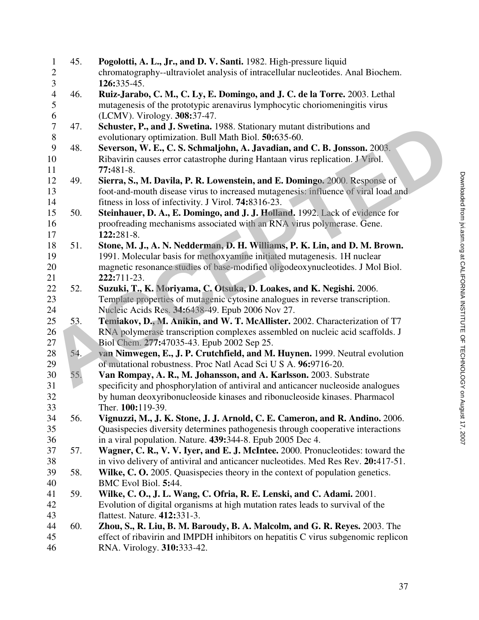| $\mathbf 1$              | 45. | Pogolotti, A. L., Jr., and D. V. Santi. 1982. High-pressure liquid                     |
|--------------------------|-----|----------------------------------------------------------------------------------------|
| $\overline{2}$           |     | chromatography--ultraviolet analysis of intracellular nucleotides. Anal Biochem.       |
| 3                        |     | 126:335-45.                                                                            |
| $\overline{\mathcal{L}}$ | 46. | Ruiz-Jarabo, C. M., C. Ly, E. Domingo, and J. C. de la Torre. 2003. Lethal             |
| 5                        |     | mutagenesis of the prototypic arenavirus lymphocytic choriomeningitis virus            |
| 6                        |     | (LCMV). Virology. 308:37-47.                                                           |
| $\boldsymbol{7}$         | 47. | Schuster, P., and J. Swetina. 1988. Stationary mutant distributions and                |
| $8\,$                    |     | evolutionary optimization. Bull Math Biol. 50:635-60.                                  |
| $\boldsymbol{9}$         | 48. | Severson, W. E., C. S. Schmaljohn, A. Javadian, and C. B. Jonsson. 2003.               |
| 10                       |     | Ribavirin causes error catastrophe during Hantaan virus replication. J Virol.          |
| 11                       |     | $77:481-8.$                                                                            |
| 12                       | 49. | Sierra, S., M. Davila, P. R. Lowenstein, and E. Domingo. 2000. Response of             |
| 13                       |     | foot-and-mouth disease virus to increased mutagenesis: influence of viral load and     |
| 14                       |     | fitness in loss of infectivity. J Virol. 74:8316-23.                                   |
| 15                       | 50. | Steinhauer, D. A., E. Domingo, and J. J. Holland. 1992. Lack of evidence for           |
| 16                       |     | proofreading mechanisms associated with an RNA virus polymerase. Gene.                 |
| 17                       |     | 122:281-8.                                                                             |
| 18                       | 51. | Stone, M. J., A. N. Nedderman, D. H. Williams, P. K. Lin, and D. M. Brown.<br>ءِ<br>ته |
| 19                       |     | 1991. Molecular basis for methoxyamine initiated mutagenesis. 1H nuclear               |
| 20                       |     | magnetic resonance studies of base-modified oligodeoxynucleotides. J Mol Biol.         |
| 21                       |     | 222:711-23.                                                                            |
| 22                       | 52. | Suzuki, T., K. Moriyama, C. Otsuka, D. Loakes, and K. Negishi. 2006.                   |
| 23                       |     | Template properties of mutagenic cytosine analogues in reverse transcription.          |
| 24                       |     | Nucleic Acids Res. 34:6438-49. Epub 2006 Nov 27.                                       |
| 25                       | 53. | Temiakov, D., M. Anikin, and W. T. McAllister. 2002. Characterization of T7            |
| 26                       |     | RNA polymerase transcription complexes assembled on nucleic acid scaffolds. J          |
| 27                       |     | Biol Chem. 277:47035-43. Epub 2002 Sep 25.                                             |
| 28                       | 54. | van Nimwegen, E., J. P. Crutchfield, and M. Huynen. 1999. Neutral evolution            |
| 29                       |     | of mutational robustness. Proc Natl Acad Sci U S A. 96:9716-20.                        |
| 30                       | 55. | Van Rompay, A. R., M. Johansson, and A. Karlsson. 2003. Substrate                      |
| 31                       |     | specificity and phosphorylation of antiviral and anticancer nucleoside analogues       |
| 32                       |     | by human deoxyribonucleoside kinases and ribonucleoside kinases. Pharmacol             |
| 33                       |     | Ther. 100:119-39.<br>annor                                                             |
| 34                       | 56. | Vignuzzi, M., J. K. Stone, J. J. Arnold, C. E. Cameron, and R. Andino. 2006.           |
| 35                       |     | Quasispecies diversity determines pathogenesis through cooperative interactions        |
| 36                       |     | in a viral population. Nature. 439:344-8. Epub 2005 Dec 4.                             |
| 37                       | 57. | Wagner, C. R., V. V. Iyer, and E. J. McIntee. 2000. Pronucleotides: toward the         |
| 38                       |     | in vivo delivery of antiviral and anticancer nucleotides. Med Res Rev. 20:417-51.      |
| 39                       | 58. | Wilke, C. O. 2005. Quasispecies theory in the context of population genetics.          |
| 40                       |     | BMC Evol Biol. 5:44.                                                                   |
| 41                       | 59. | Wilke, C. O., J. L. Wang, C. Ofria, R. E. Lenski, and C. Adami. 2001.                  |
| 42                       |     | Evolution of digital organisms at high mutation rates leads to survival of the         |
| 43                       |     | flattest. Nature. 412:331-3.                                                           |
| 44                       | 60. | Zhou, S., R. Liu, B. M. Baroudy, B. A. Malcolm, and G. R. Reyes. 2003. The             |
| 45                       |     | effect of ribavirin and IMPDH inhibitors on hepatitis C virus subgenomic replicon      |
| 46                       |     | RNA. Virology. 310:333-42.                                                             |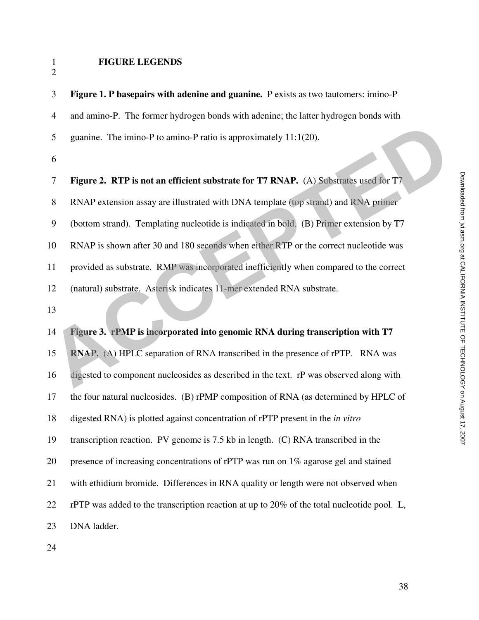## 1 **FIGURE LEGENDS**

2

3 **Figure 1. P basepairs with adenine and guanine.** P exists as two tautomers: imino-P 4 and amino-P. The former hydrogen bonds with adenine; the latter hydrogen bonds with 5 guanine. The imino-P to amino-P ratio is approximately 11:1(20).

6

7 **Figure 2. RTP is not an efficient substrate for T7 RNAP.** (A) Substrates used for T7 8 RNAP extension assay are illustrated with DNA template (top strand) and RNA primer 9 (bottom strand). Templating nucleotide is indicated in bold. (B) Primer extension by T7 10 RNAP is shown after 30 and 180 seconds when either RTP or the correct nucleotide was 11 provided as substrate. RMP was incorporated inefficiently when compared to the correct 12 (natural) substrate. Asterisk indicates 11-mer extended RNA substrate. Figure 2. RTP is not an efficient substrate for T7 RNAP. (A) Substrates used for T7<br>
Tigure 2. RTP is not an efficient substrate for T7 RNAP. (A) Substrates used for T7<br>
RNAP extension assay are illustrated with DNA templa

13

14 **Figure 3. rPMP is incorporated into genomic RNA during transcription with T7**  15 **RNAP.** (A) HPLC separation of RNA transcribed in the presence of rPTP. RNA was 16 digested to component nucleosides as described in the text. rP was observed along with 17 the four natural nucleosides. (B) rPMP composition of RNA (as determined by HPLC of 18 digested RNA) is plotted against concentration of rPTP present in the *in vitro* 19 transcription reaction. PV genome is 7.5 kb in length. (C) RNA transcribed in the 20 presence of increasing concentrations of rPTP was run on 1% agarose gel and stained 21 with ethidium bromide. Differences in RNA quality or length were not observed when 22 rPTP was added to the transcription reaction at up to 20% of the total nucleotide pool. L, 23 DNA ladder.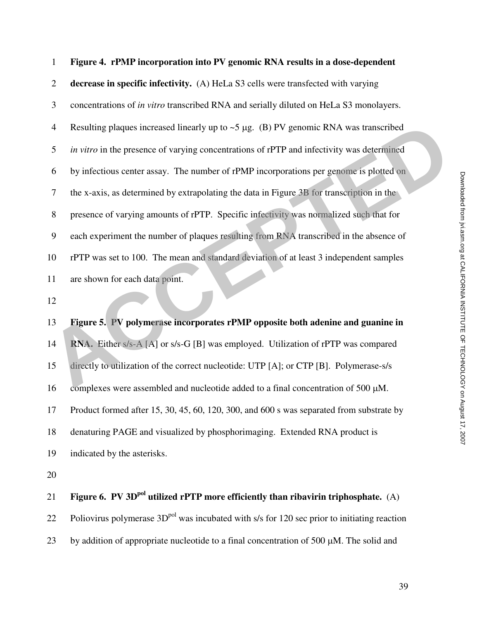| 1              | Figure 4. rPMP incorporation into PV genomic RNA results in a dose-dependent                              |
|----------------|-----------------------------------------------------------------------------------------------------------|
| $\overline{2}$ | decrease in specific infectivity. (A) HeLa S3 cells were transfected with varying                         |
| 3              | concentrations of in vitro transcribed RNA and serially diluted on HeLa S3 monolayers.                    |
| $\overline{4}$ | Resulting plaques increased linearly up to $\sim$ 5 µg. (B) PV genomic RNA was transcribed                |
| 5              | in vitro in the presence of varying concentrations of rPTP and infectivity was determined                 |
| 6              | by infectious center assay. The number of rPMP incorporations per genome is plotted on                    |
| $\tau$         | the x-axis, as determined by extrapolating the data in Figure 3B for transcription in the                 |
| $8\,$          | presence of varying amounts of rPTP. Specific infectivity was normalized such that for                    |
| 9              | each experiment the number of plaques resulting from RNA transcribed in the absence of                    |
| 10             | rPTP was set to 100. The mean and standard deviation of at least 3 independent samples                    |
| 11             | are shown for each data point.                                                                            |
| 12             |                                                                                                           |
| 13             | Figure 5. PV polymerase incorporates rPMP opposite both adenine and guanine in                            |
| 14             | RNA. Either s/s-A [A] or s/s-G [B] was employed. Utilization of rPTP was compared                         |
| 15             | directly to utilization of the correct nucleotide: UTP [A]; or CTP [B]. Polymerase-s/s                    |
| 16             | complexes were assembled and nucleotide added to a final concentration of 500 µM.                         |
| 17             | <b>LanGnu</b><br>Product formed after 15, 30, 45, 60, 120, 300, and 600 s was separated from substrate by |
| 18             | denaturing PAGE and visualized by phosphorimaging. Extended RNA product is                                |
| 19             | indicated by the asterisks.                                                                               |
| 20             |                                                                                                           |
| 21             | Figure 6. PV 3D <sup>pol</sup> utilized rPTP more efficiently than ribavirin triphosphate. (A)            |
| 22             | Poliovirus polymerase 3D <sup>pol</sup> was incubated with s/s for 120 sec prior to initiating reaction   |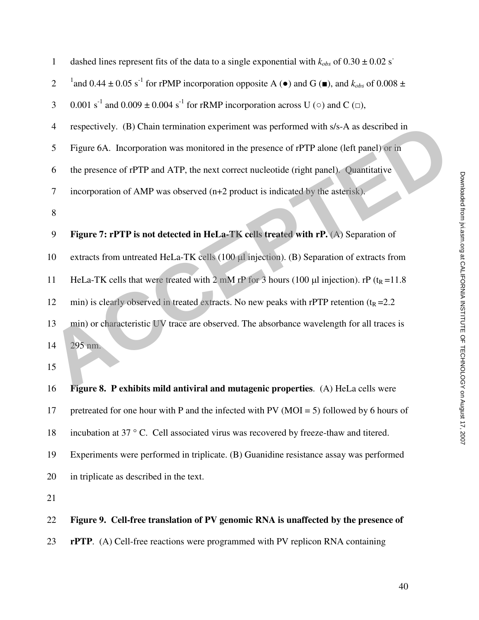| $\mathbf{1}$     | dashed lines represent fits of the data to a single exponential with $k_{obs}$ of $0.30 \pm 0.02$ s                                                     |
|------------------|---------------------------------------------------------------------------------------------------------------------------------------------------------|
| $\overline{2}$   | <sup>1</sup> and 0.44 $\pm$ 0.05 s <sup>-1</sup> for rPMP incorporation opposite A ( $\bullet$ ) and G ( $\blacksquare$ ), and $k_{obs}$ of 0.008 $\pm$ |
| 3                | 0.001 s <sup>-1</sup> and 0.009 $\pm$ 0.004 s <sup>-1</sup> for rRMP incorporation across U ( $\circ$ ) and C ( $\Box$ ),                               |
| $\overline{4}$   | respectively. (B) Chain termination experiment was performed with s/s-A as described in                                                                 |
| 5                | Figure 6A. Incorporation was monitored in the presence of rPTP alone (left panel) or in                                                                 |
| 6                | the presence of rPTP and ATP, the next correct nucleotide (right panel). Quantitative                                                                   |
| $\tau$           | incorporation of AMP was observed (n+2 product is indicated by the asterisk).                                                                           |
| 8                |                                                                                                                                                         |
| $\boldsymbol{9}$ | Figure 7: rPTP is not detected in HeLa-TK cells treated with rP. (A) Separation of                                                                      |
| 10               | extracts from untreated HeLa-TK cells (100 µl injection). (B) Separation of extracts from                                                               |
| 11               | HeLa-TK cells that were treated with 2 mM rP for 3 hours (100 $\mu$ l injection). rP ( $t_R$ =11.8                                                      |
| 12               | min) is clearly observed in treated extracts. No new peaks with rPTP retention $(t_R = 2.2$                                                             |
| 13               | min) or characteristic UV trace are observed. The absorbance wavelength for all traces is                                                               |
| 14               | 295 nm.                                                                                                                                                 |
| 15               |                                                                                                                                                         |
| 16               | Figure 8. P exhibits mild antiviral and mutagenic properties. (A) HeLa cells were                                                                       |
| 17               | nenfir<br>pretreated for one hour with P and the infected with PV ( $MOI = 5$ ) followed by 6 hours of                                                  |
| 18               | incubation at 37 ° C. Cell associated virus was recovered by freeze-thaw and titered.                                                                   |
| 19               | Experiments were performed in triplicate. (B) Guanidine resistance assay was performed                                                                  |
| 20               | in triplicate as described in the text.                                                                                                                 |
| 21               |                                                                                                                                                         |
| 22               | Figure 9. Cell-free translation of PV genomic RNA is unaffected by the presence of                                                                      |
| 23               | rPTP. (A) Cell-free reactions were programmed with PV replicon RNA containing                                                                           |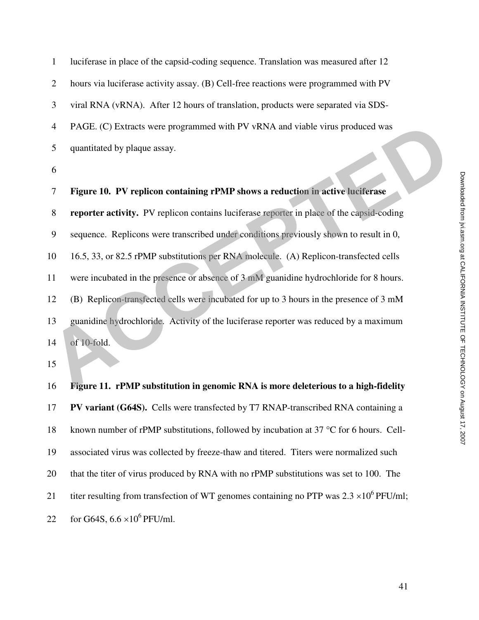1 luciferase in place of the capsid-coding sequence. Translation was measured after 12 2 hours via luciferase activity assay. (B) Cell-free reactions were programmed with PV 3 viral RNA (vRNA). After 12 hours of translation, products were separated via SDS-4 PAGE. (C) Extracts were programmed with PV vRNA and viable virus produced was 5 quantitated by plaque assay.

6

7 **Figure 10. PV replicon containing rPMP shows a reduction in active luciferase**  8 **reporter activity.** PV replicon contains luciferase reporter in place of the capsid-coding 9 sequence. Replicons were transcribed under conditions previously shown to result in 0, 10 16.5, 33, or 82.5 rPMP substitutions per RNA molecule. (A) Replicon-transfected cells 11 were incubated in the presence or absence of 3 mM guanidine hydrochloride for 8 hours. 12 (B) Replicon-transfected cells were incubated for up to 3 hours in the presence of 3 mM 13 guanidine hydrochloride. Activity of the luciferase reporter was reduced by a maximum 14 of 10-fold. PAGE. (C) Extracts were programmed with PV vRNA and viable virus produced was<br>
5 quantitated by plaque assay.<br>
6<br> **ACCEPTED FOR THE PEAT CONTAINS A** reduction in active luciferase<br> **ACCEPTED FOR THE PEAT CONTAINS A** reduct

15

16 **Figure 11. rPMP substitution in genomic RNA is more deleterious to a high-fidelity**  17 **PV variant (G64S).** Cells were transfected by T7 RNAP-transcribed RNA containing a 18 known number of rPMP substitutions, followed by incubation at 37 °C for 6 hours. Cell-19 associated virus was collected by freeze-thaw and titered. Titers were normalized such 20 that the titer of virus produced by RNA with no rPMP substitutions was set to 100. The 21 titer resulting from transfection of WT genomes containing no PTP was  $2.3 \times 10^6$  PFU/ml; 22 for G64S,  $6.6 \times 10^6$  PFU/ml.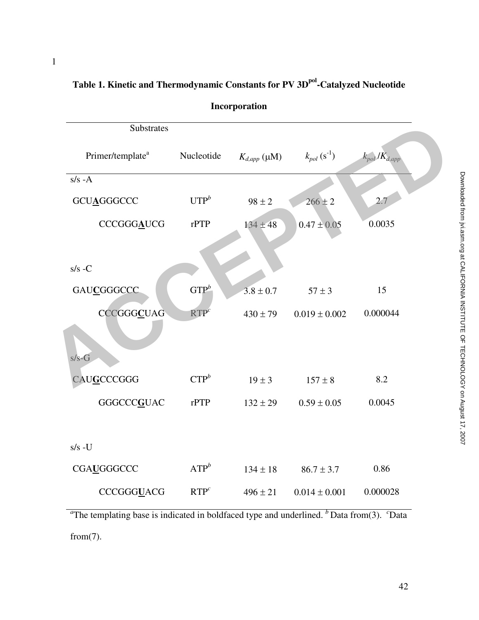| Substrates                   |                  |                  |                              |                         |
|------------------------------|------------------|------------------|------------------------------|-------------------------|
| Primer/template <sup>a</sup> | Nucleotide       | $K_{d,app}$ (µM) | $k_{pol}$ (s <sup>-1</sup> ) | $k_{pol}$ / $K_{d,app}$ |
| $s/s - A$                    |                  |                  |                              |                         |
| <b>GCUAGGGCCC</b>            | $\mathrm{UTP}^b$ | $98 \pm 2$       | $266 \pm 2$                  | 2.7                     |
| <b>CCCGGGAUCG</b>            | rPTP             | $134 \pm 48$     | $0.47 \pm 0.05$              | 0.0035                  |
| $s/s - C$                    |                  |                  |                              |                         |
| GAUCGGGCCC                   | $GTP^b$          |                  |                              | 15                      |
| <b>CCCGGGCUAG</b>            | $RTP^c$          | $3.8 \pm 0.7$    | $57 \pm 3$                   | 0.000044                |
| $s/s-G$                      |                  |                  |                              |                         |
| CAUGCCCGGG                   | CTP <sup>b</sup> | $19 \pm 3$       | $157 \pm 8$                  | 8.2                     |
| <b>GGGCCCGUAC</b>            | rPTP             | $132 \pm 29$     | $0.59 \pm 0.05$              | 0.0045                  |
| $s/s - U$                    |                  |                  |                              |                         |
| <b>CGAUGGGCCC</b>            | $ATP^b$          | $134 \pm 18$     | $86.7 \pm 3.7$               | 0.86                    |
| <b>CCCGGGUACG</b>            | RTP <sup>c</sup> | $496 \pm 21$     | $0.014 \pm 0.001$            | 0.000028                |

|  | Table 1. Kinetic and Thermodynamic Constants for PV 3D <sup>pol</sup> -Catalyzed Nucleotide |  |  |
|--|---------------------------------------------------------------------------------------------|--|--|
|--|---------------------------------------------------------------------------------------------|--|--|

**Incorporation**

from $(7)$ .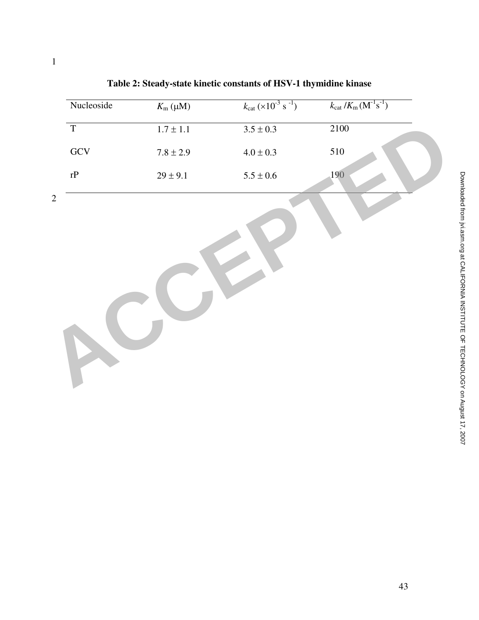|              | Nucleoside                 | $K_{\rm m}(\mu\rm{M})$ | $k_{\text{cat}} (\times 10^{-3} \text{ s}^{-1})$ | $k_{\text{cat}}/K_{\text{m}}(\text{M}^{-1}\text{s}^{-1})$ |  |  |  |
|--------------|----------------------------|------------------------|--------------------------------------------------|-----------------------------------------------------------|--|--|--|
|              | $\mathbf T$                | $1.7\pm1.1$            | $3.5\pm0.3$                                      | 2100                                                      |  |  |  |
|              | $\operatorname{GCV}$       | $7.8 \pm 2.9$          | $4.0\pm0.3$                                      | 510                                                       |  |  |  |
|              | $\ensuremath{\mathrm{rP}}$ | $29\pm9.1$             | $5.5\pm0.6$                                      | 190<br><b>DOWNING</b>                                     |  |  |  |
| $\mathbf{2}$ |                            |                        |                                                  |                                                           |  |  |  |
|              |                            |                        |                                                  |                                                           |  |  |  |
|              |                            |                        |                                                  | ا<br>ما                                                   |  |  |  |
|              |                            |                        |                                                  |                                                           |  |  |  |
|              |                            |                        |                                                  |                                                           |  |  |  |
|              |                            |                        |                                                  |                                                           |  |  |  |
|              |                            |                        |                                                  |                                                           |  |  |  |
|              |                            |                        |                                                  |                                                           |  |  |  |

**Table 2: Steady-state kinetic constants of HSV-1 thymidine kinase**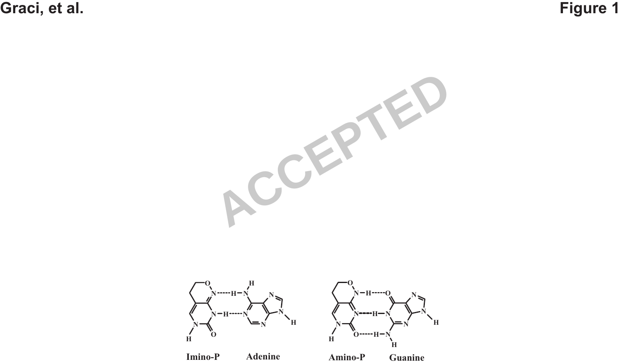



**Imino-P Adenine Amino-P Guanine**

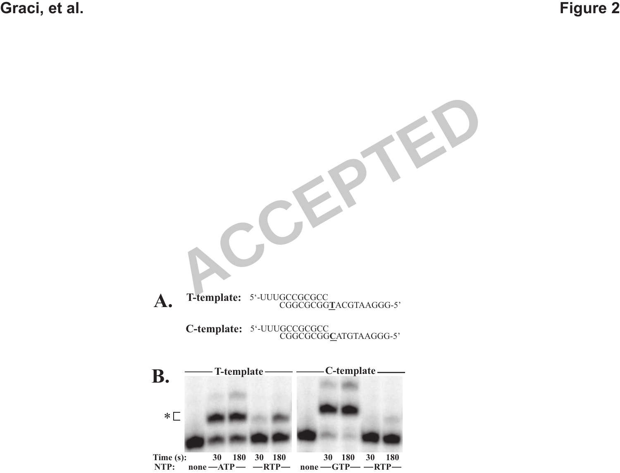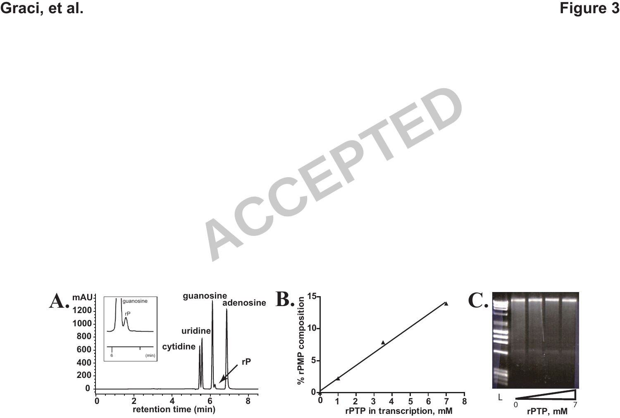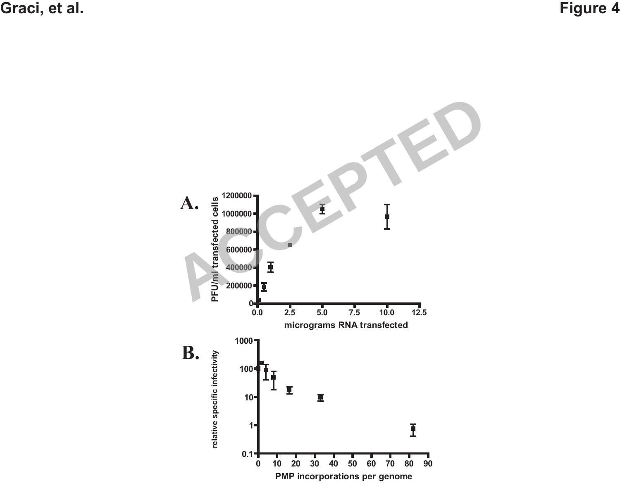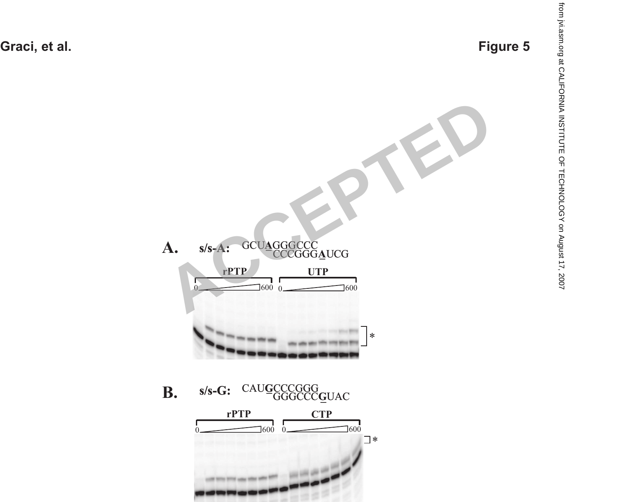

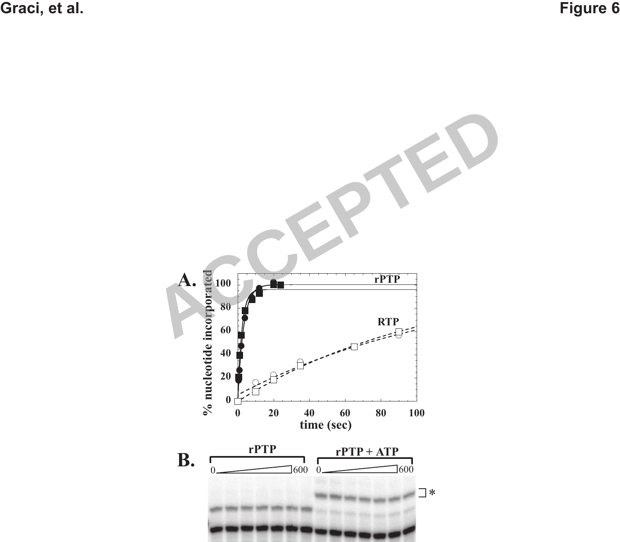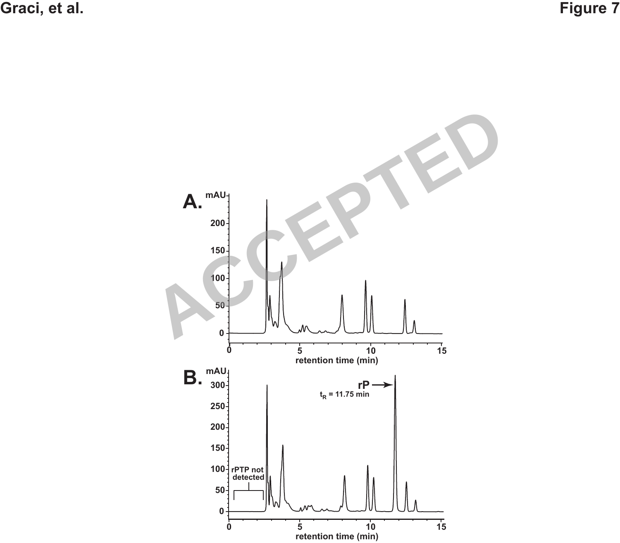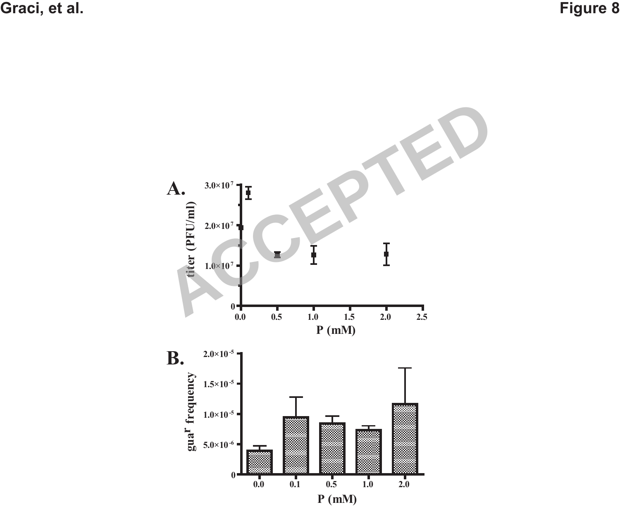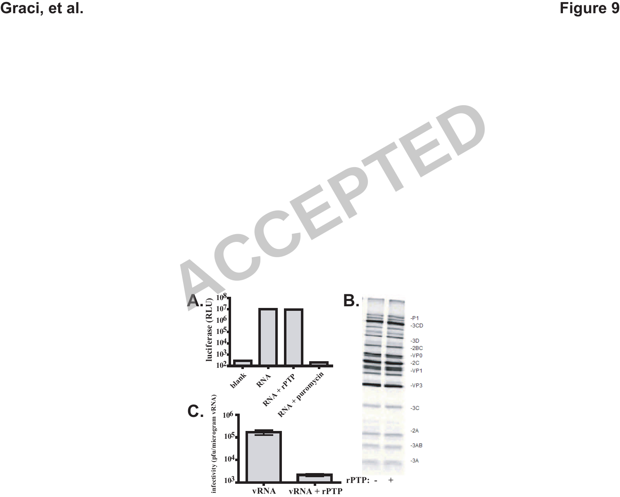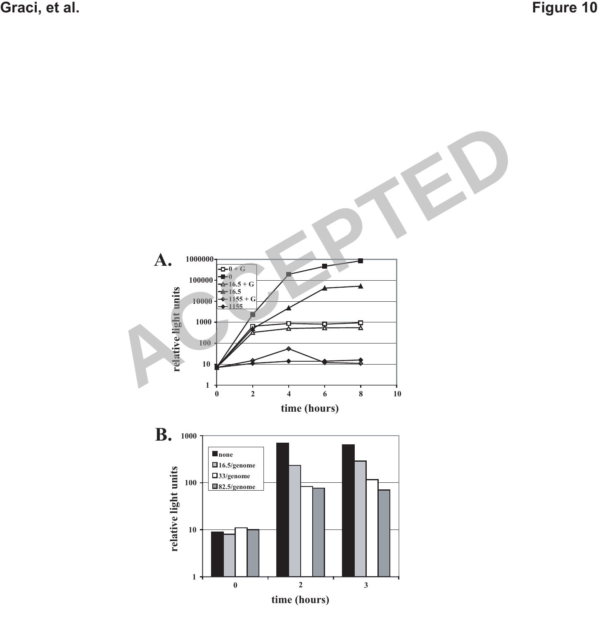